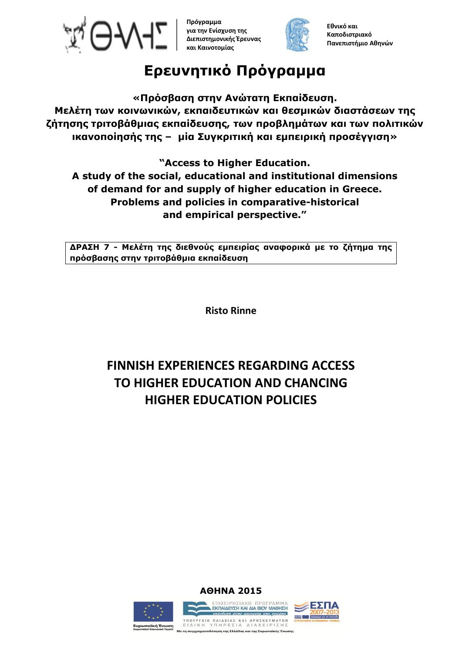

**Πρόγραμμα για την Ενίσχυση της Διεπιστημονικής Έρευνας και Καινοτομίας**



**Εθνικό και Καποδιστριακό Πανεπιστήμιο Αθηνών**

# **Ερευνητικό Πρόγραμμα**

**«Πρόσβαση στην Ανώτατη Εκπαίδευση. Μελέτη των κοινωνικών, εκπαιδευτικών και θεσμικών διαστάσεων της ζήτησης τριτοβάθμιας εκπαίδευσης, των προβλημάτων και των πολιτικών ικανοποίησής της – μία Συγκριτική και εμπειρική προσέγγιση»**

**"Access to Higher Education.**

**A study of the social, educational and institutional dimensions of demand for and supply of higher education in Greece. Problems and policies in comparative-historical and empirical perspective."**

**ΔΡΑΣΗ 7 - Μελέτη της διεθνούς εμπειρίας αναφορικά με το ζήτημα της πρόσβασης στην τριτοβάθμια εκπαίδευση**

**Risto Rinne**

# **FINNISH EXPERIENCES REGARDING ACCESS TO HIGHER EDUCATION AND CHANCING HIGHER EDUCATION POLICIES**







ΥΠΟΥΡΓΕΙΟ ΠΑΙΔΕΙΑΣ ΚΑΙ ΘΡΗΣΚΕΥΜΑΤΩΝ<br>ΕΙΔΙΚΗ ΥΠΗΡΕΣΙΑ ΔΙΑΧΕΙΡΙΣΗΣ **Ευρωπαϊκή Ένωση**<br>Ενοωπαϊκό Κοινωνικό Ταμείο .<br>Με τη συγχρηματοδότηση της Ελλάδας και της Ευρωπαϊκής Ένωσης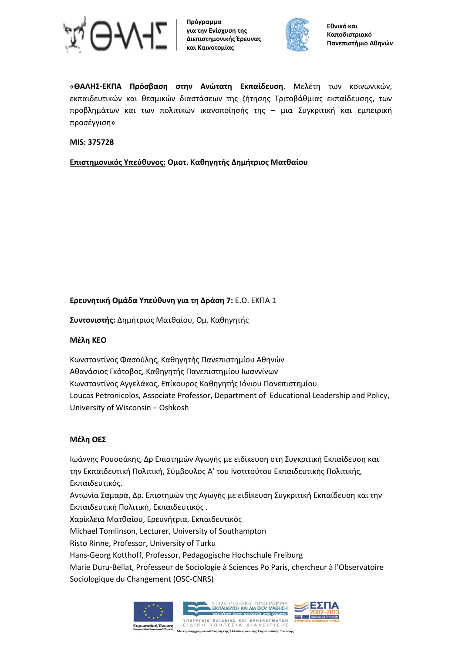

**Πρόγραμμα για την Ενίσχυση της Διεπιστημονικής Έρευνας και Καινοτομίας**



«**ΘΑΛΗΣ-ΕΚΠΑ Πρόσβαση στην Ανώτατη Εκπαίδευση**. Μελέτη των κοινωνικών, εκπαιδευτικών και θεσμικών διαστάσεων της ζήτησης Τριτοβάθμιας εκπαίδευσης, των προβλημάτων και των πολιτικών ικανοποίησής της – μια Συγκριτική και εμπειρική προσέγγιση»

#### **MIS: 375728**

**Επιστημονικός Υπεύθυνος: Ομοτ. Καθηγητής Δημήτριος Ματθαίου**

# **Ερευνητική Ομάδα Υπεύθυνη για τη Δράση 7:** Ε.Ο. ΕΚΠΑ 1

**Συντονιστής:** Δημήτριος Ματθαίου, Ομ. Καθηγητής

#### **Μέλη ΚΕΟ**

Κωνσταντίνος Φασούλης, Καθηγητής Πανεπιστημίου Αθηνών Αθανάσιος Γκότοβος, Καθηγητής Πανεπιστημίου Ιωαννίνων Κωνσταντίνος Αγγελάκος, Επίκουρος Καθηγητής Ιόνιου Πανεπιστημίου Loucas Petronicolos, Associate Professor, Department of Educational Leadership and Policy, University of Wisconsin – Oshkosh

#### **Μέλη ΟΕΣ**

Ιωάννης Ρουσσάκης, Δρ Επιστημών Αγωγής με ειδίκευση στη Συγκριτική Εκπαίδευση και την Εκπαιδευτική Πολιτική, Σύμβουλος A' του Ινστιτούτου Εκπαιδευτικής Πολιτικής, Εκπαιδευτικός.

Αντωνία Σαμαρά, Δρ. Επιστημών της Αγωγής με ειδίκευση Συγκριτική Εκπαίδευση και την Εκπαιδευτική Πολιτική, Εκπαιδευτικός . Χαρίκλεια Ματθαίου, Ερευνήτρια, Εκπαιδευτικός

Michael Tomlinson, Lecturer, University of Southampton

Risto Rinne, Professor, University of Turku

Hans-Georg Kotthoff, Professor, Pedagogische Hochschule Freiburg

Marie Duru-Bellat, Professeur de Sociologie à Sciences Po Paris, chercheur à l'Observatoire Sociologique du Changement (OSC-CNRS)

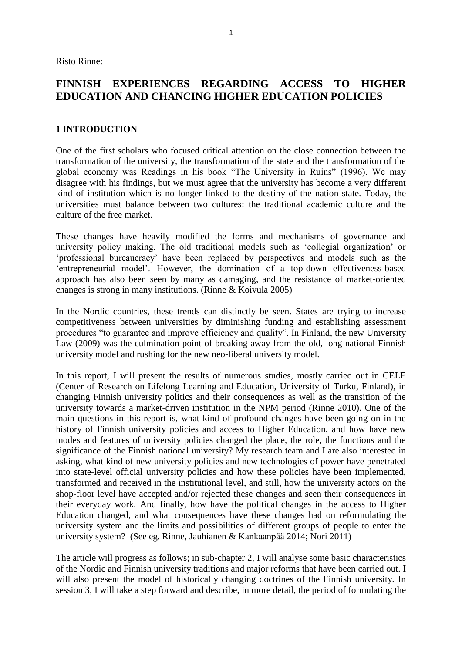Risto Rinne:

# **FINNISH EXPERIENCES REGARDING ACCESS TO HIGHER EDUCATION AND CHANCING HIGHER EDUCATION POLICIES**

#### **1 INTRODUCTION**

One of the first scholars who focused critical attention on the close connection between the transformation of the university, the transformation of the state and the transformation of the global economy was Readings in his book "The University in Ruins" (1996). We may disagree with his findings, but we must agree that the university has become a very different kind of institution which is no longer linked to the destiny of the nation-state. Today, the universities must balance between two cultures: the traditional academic culture and the culture of the free market.

These changes have heavily modified the forms and mechanisms of governance and university policy making. The old traditional models such as 'collegial organization' or 'professional bureaucracy' have been replaced by perspectives and models such as the 'entrepreneurial model'. However, the domination of a top-down effectiveness-based approach has also been seen by many as damaging, and the resistance of market-oriented changes is strong in many institutions. (Rinne & Koivula 2005)

In the Nordic countries, these trends can distinctly be seen. States are trying to increase competitiveness between universities by diminishing funding and establishing assessment procedures "to guarantee and improve efficiency and quality". In Finland, the new University Law (2009) was the culmination point of breaking away from the old, long national Finnish university model and rushing for the new neo-liberal university model.

In this report, I will present the results of numerous studies, mostly carried out in CELE (Center of Research on Lifelong Learning and Education, University of Turku, Finland), in changing Finnish university politics and their consequences as well as the transition of the university towards a market-driven institution in the NPM period (Rinne 2010). One of the main questions in this report is, what kind of profound changes have been going on in the history of Finnish university policies and access to Higher Education, and how have new modes and features of university policies changed the place, the role, the functions and the significance of the Finnish national university? My research team and I are also interested in asking, what kind of new university policies and new technologies of power have penetrated into state-level official university policies and how these policies have been implemented, transformed and received in the institutional level, and still, how the university actors on the shop-floor level have accepted and/or rejected these changes and seen their consequences in their everyday work. And finally, how have the political changes in the access to Higher Education changed, and what consequences have these changes had on reformulating the university system and the limits and possibilities of different groups of people to enter the university system? (See eg. Rinne, Jauhianen & Kankaanpää 2014; Nori 2011)

The article will progress as follows; in sub-chapter 2, I will analyse some basic characteristics of the Nordic and Finnish university traditions and major reforms that have been carried out. I will also present the model of historically changing doctrines of the Finnish university. In session 3, I will take a step forward and describe, in more detail, the period of formulating the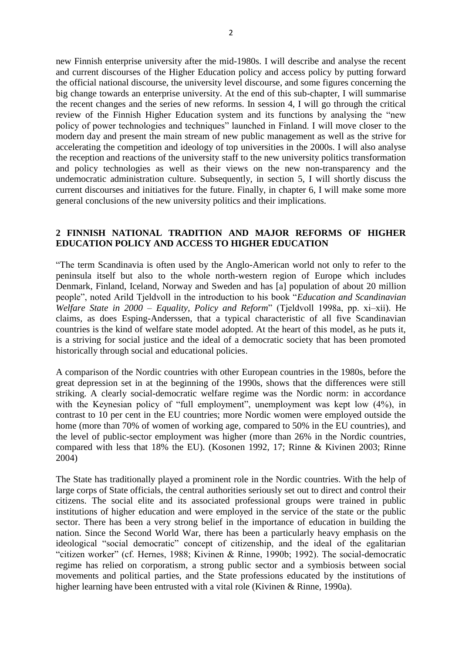new Finnish enterprise university after the mid-1980s. I will describe and analyse the recent and current discourses of the Higher Education policy and access policy by putting forward the official national discourse, the university level discourse, and some figures concerning the big change towards an enterprise university. At the end of this sub-chapter, I will summarise the recent changes and the series of new reforms. In session 4, I will go through the critical review of the Finnish Higher Education system and its functions by analysing the "new policy of power technologies and techniques" launched in Finland. I will move closer to the modern day and present the main stream of new public management as well as the strive for accelerating the competition and ideology of top universities in the 2000s. I will also analyse the reception and reactions of the university staff to the new university politics transformation and policy technologies as well as their views on the new non-transparency and the undemocratic administration culture. Subsequently, in section 5, I will shortly discuss the current discourses and initiatives for the future. Finally, in chapter 6, I will make some more general conclusions of the new university politics and their implications.

#### **2 FINNISH NATIONAL TRADITION AND MAJOR REFORMS OF HIGHER EDUCATION POLICY AND ACCESS TO HIGHER EDUCATION**

"The term Scandinavia is often used by the Anglo-American world not only to refer to the peninsula itself but also to the whole north-western region of Europe which includes Denmark, Finland, Iceland, Norway and Sweden and has [a] population of about 20 million people", noted Arild Tjeldvoll in the introduction to his book "*Education and Scandinavian Welfare State in 2000 – Equality, Policy and Reform*" (Tjeldvoll 1998a, pp. xi–xii). He claims, as does Esping-Anderssen, that a typical characteristic of all five Scandinavian countries is the kind of welfare state model adopted. At the heart of this model, as he puts it, is a striving for social justice and the ideal of a democratic society that has been promoted historically through social and educational policies.

A comparison of the Nordic countries with other European countries in the 1980s, before the great depression set in at the beginning of the 1990s, shows that the differences were still striking. A clearly social-democratic welfare regime was the Nordic norm: in accordance with the Keynesian policy of "full employment", unemployment was kept low  $(4\%)$ , in contrast to 10 per cent in the EU countries; more Nordic women were employed outside the home (more than 70% of women of working age, compared to 50% in the EU countries), and the level of public-sector employment was higher (more than 26% in the Nordic countries, compared with less that 18% the EU). (Kosonen 1992, 17; Rinne & Kivinen 2003; Rinne 2004)

The State has traditionally played a prominent role in the Nordic countries. With the help of large corps of State officials, the central authorities seriously set out to direct and control their citizens. The social elite and its associated professional groups were trained in public institutions of higher education and were employed in the service of the state or the public sector. There has been a very strong belief in the importance of education in building the nation. Since the Second World War, there has been a particularly heavy emphasis on the ideological "social democratic" concept of citizenship, and the ideal of the egalitarian "citizen worker" (cf. Hernes, 1988; Kivinen & Rinne, 1990b; 1992). The social-democratic regime has relied on corporatism, a strong public sector and a symbiosis between social movements and political parties, and the State professions educated by the institutions of higher learning have been entrusted with a vital role (Kivinen & Rinne, 1990a).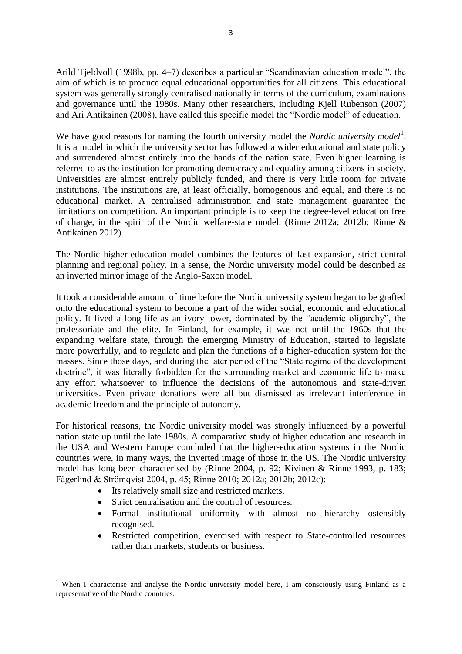Arild Tjeldvoll (1998b, pp. 4–7) describes a particular "Scandinavian education model", the aim of which is to produce equal educational opportunities for all citizens. This educational system was generally strongly centralised nationally in terms of the curriculum, examinations and governance until the 1980s. Many other researchers, including Kjell Rubenson (2007) and Ari Antikainen (2008), have called this specific model the "Nordic model" of education.

We have good reasons for naming the fourth university model the *Nordic university model*<sup>1</sup>. It is a model in which the university sector has followed a wider educational and state policy and surrendered almost entirely into the hands of the nation state. Even higher learning is referred to as the institution for promoting democracy and equality among citizens in society. Universities are almost entirely publicly funded, and there is very little room for private institutions. The institutions are, at least officially, homogenous and equal, and there is no educational market. A centralised administration and state management guarantee the limitations on competition. An important principle is to keep the degree-level education free of charge, in the spirit of the Nordic welfare-state model. (Rinne 2012a; 2012b; Rinne & Antikainen 2012)

The Nordic higher-education model combines the features of fast expansion, strict central planning and regional policy. In a sense, the Nordic university model could be described as an inverted mirror image of the Anglo-Saxon model.

It took a considerable amount of time before the Nordic university system began to be grafted onto the educational system to become a part of the wider social, economic and educational policy. It lived a long life as an ivory tower, dominated by the "academic oligarchy", the professoriate and the elite. In Finland, for example, it was not until the 1960s that the expanding welfare state, through the emerging Ministry of Education, started to legislate more powerfully, and to regulate and plan the functions of a higher-education system for the masses. Since those days, and during the later period of the "State regime of the development doctrine", it was literally forbidden for the surrounding market and economic life to make any effort whatsoever to influence the decisions of the autonomous and state-driven universities. Even private donations were all but dismissed as irrelevant interference in academic freedom and the principle of autonomy.

For historical reasons, the Nordic university model was strongly influenced by a powerful nation state up until the late 1980s. A comparative study of higher education and research in the USA and Western Europe concluded that the higher-education systems in the Nordic countries were, in many ways, the inverted image of those in the US. The Nordic university model has long been characterised by (Rinne 2004, p. 92; Kivinen & Rinne 1993, p. 183; Fägerlind & Strömqvist 2004, p. 45; Rinne 2010; 2012a; 2012b; 2012c):

- Its relatively small size and restricted markets.
- Strict centralisation and the control of resources.
- Formal institutional uniformity with almost no hierarchy ostensibly recognised.
- Restricted competition, exercised with respect to State-controlled resources rather than markets, students or business.

<sup>1</sup> <sup>1</sup> When I characterise and analyse the Nordic university model here, I am consciously using Finland as a representative of the Nordic countries.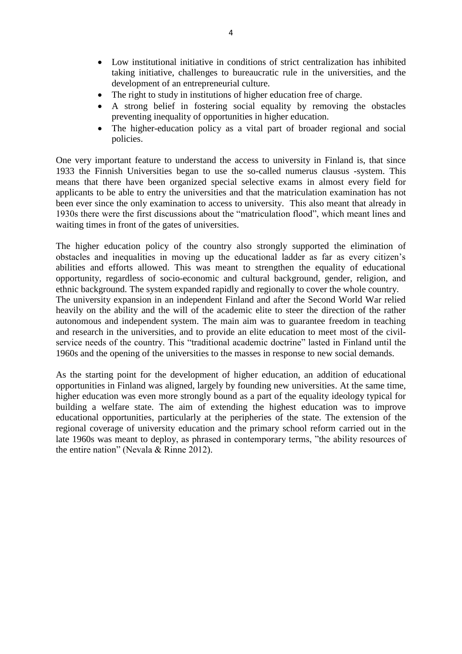- Low institutional initiative in conditions of strict centralization has inhibited taking initiative, challenges to bureaucratic rule in the universities, and the development of an entrepreneurial culture.
- The right to study in institutions of higher education free of charge.
- A strong belief in fostering social equality by removing the obstacles preventing inequality of opportunities in higher education.
- The higher-education policy as a vital part of broader regional and social policies.

One very important feature to understand the access to university in Finland is, that since 1933 the Finnish Universities began to use the so-called numerus clausus -system. This means that there have been organized special selective exams in almost every field for applicants to be able to entry the universities and that the matriculation examination has not been ever since the only examination to access to university. This also meant that already in 1930s there were the first discussions about the "matriculation flood", which meant lines and waiting times in front of the gates of universities.

The higher education policy of the country also strongly supported the elimination of obstacles and inequalities in moving up the educational ladder as far as every citizen's abilities and efforts allowed. This was meant to strengthen the equality of educational opportunity, regardless of socio-economic and cultural background, gender, religion, and ethnic background. The system expanded rapidly and regionally to cover the whole country. The university expansion in an independent Finland and after the Second World War relied heavily on the ability and the will of the academic elite to steer the direction of the rather autonomous and independent system. The main aim was to guarantee freedom in teaching and research in the universities, and to provide an elite education to meet most of the civilservice needs of the country. This "traditional academic doctrine" lasted in Finland until the 1960s and the opening of the universities to the masses in response to new social demands.

As the starting point for the development of higher education, an addition of educational opportunities in Finland was aligned, largely by founding new universities. At the same time, higher education was even more strongly bound as a part of the equality ideology typical for building a welfare state. The aim of extending the highest education was to improve educational opportunities, particularly at the peripheries of the state. The extension of the regional coverage of university education and the primary school reform carried out in the late 1960s was meant to deploy, as phrased in contemporary terms, "the ability resources of the entire nation" (Nevala & Rinne 2012).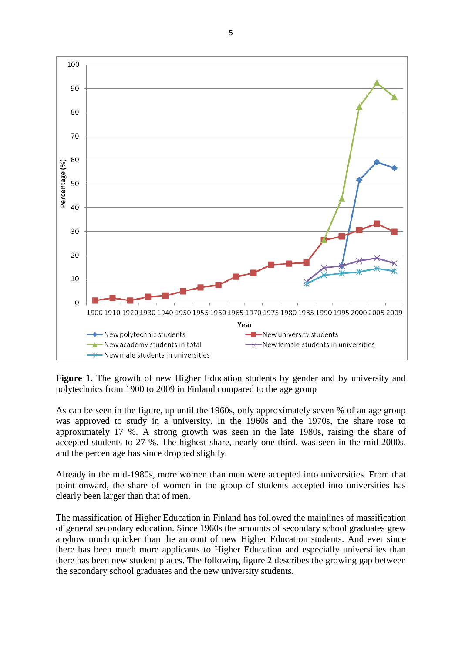

Figure 1. The growth of new Higher Education students by gender and by university and polytechnics from 1900 to 2009 in Finland compared to the age group

As can be seen in the figure, up until the 1960s, only approximately seven % of an age group was approved to study in a university. In the 1960s and the 1970s, the share rose to approximately 17 %. A strong growth was seen in the late 1980s, raising the share of accepted students to 27 %. The highest share, nearly one-third, was seen in the mid-2000s, and the percentage has since dropped slightly.

Already in the mid-1980s, more women than men were accepted into universities. From that point onward, the share of women in the group of students accepted into universities has clearly been larger than that of men.

The massification of Higher Education in Finland has followed the mainlines of massification of general secondary education. Since 1960s the amounts of secondary school graduates grew anyhow much quicker than the amount of new Higher Education students. And ever since there has been much more applicants to Higher Education and especially universities than there has been new student places. The following figure 2 describes the growing gap between the secondary school graduates and the new university students.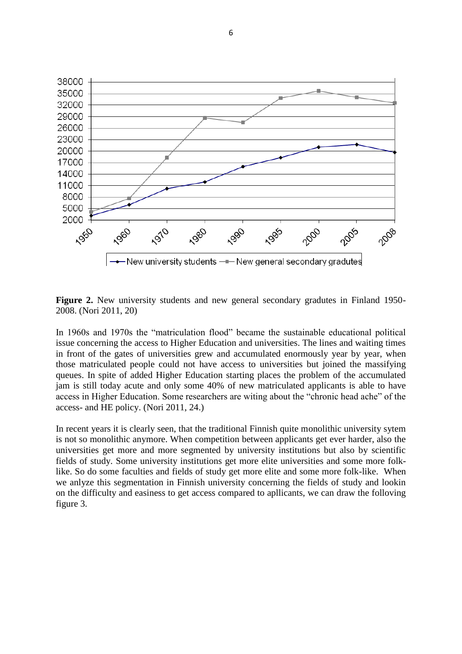

**Figure 2.** New university students and new general secondary gradutes in Finland 1950- 2008. (Nori 2011, 20)

In 1960s and 1970s the "matriculation flood" became the sustainable educational political issue concerning the access to Higher Education and universities. The lines and waiting times in front of the gates of universities grew and accumulated enormously year by year, when those matriculated people could not have access to universities but joined the massifying queues. In spite of added Higher Education starting places the problem of the accumulated jam is still today acute and only some 40% of new matriculated applicants is able to have access in Higher Education. Some researchers are witing about the "chronic head ache" of the access- and HE policy. (Nori 2011, 24.)

In recent years it is clearly seen, that the traditional Finnish quite monolithic university sytem is not so monolithic anymore. When competition between applicants get ever harder, also the universities get more and more segmented by university institutions but also by scientific fields of study. Some university institutions get more elite universities and some more folklike. So do some faculties and fields of study get more elite and some more folk-like. When we anlyze this segmentation in Finnish university concerning the fields of study and lookin on the difficulty and easiness to get access compared to apllicants, we can draw the folloving figure 3.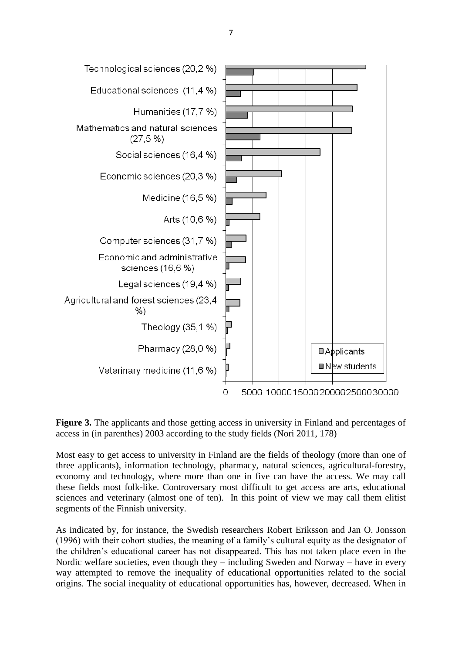

**Figure 3.** The applicants and those getting access in university in Finland and percentages of access in (in parenthes) 2003 according to the study fields (Nori 2011, 178)

Most easy to get access to university in Finland are the fields of theology (more than one of three applicants), information technology, pharmacy, natural sciences, agricultural-forestry, economy and technology, where more than one in five can have the access. We may call these fields most folk-like. Controversary most difficult to get access are arts, educational sciences and veterinary (almost one of ten). In this point of view we may call them elitist segments of the Finnish university.

As indicated by, for instance, the Swedish researchers Robert Eriksson and Jan O. Jonsson (1996) with their cohort studies, the meaning of a family's cultural equity as the designator of the children's educational career has not disappeared. This has not taken place even in the Nordic welfare societies, even though they – including Sweden and Norway – have in every way attempted to remove the inequality of educational opportunities related to the social origins. The social inequality of educational opportunities has, however, decreased. When in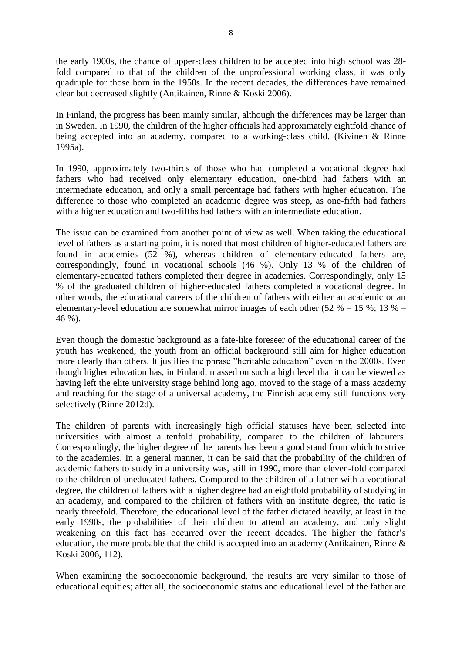the early 1900s, the chance of upper-class children to be accepted into high school was 28 fold compared to that of the children of the unprofessional working class, it was only quadruple for those born in the 1950s. In the recent decades, the differences have remained clear but decreased slightly (Antikainen, Rinne & Koski 2006).

In Finland, the progress has been mainly similar, although the differences may be larger than in Sweden. In 1990, the children of the higher officials had approximately eightfold chance of being accepted into an academy, compared to a working-class child. (Kivinen & Rinne 1995a).

In 1990, approximately two-thirds of those who had completed a vocational degree had fathers who had received only elementary education, one-third had fathers with an intermediate education, and only a small percentage had fathers with higher education. The difference to those who completed an academic degree was steep, as one-fifth had fathers with a higher education and two-fifths had fathers with an intermediate education.

The issue can be examined from another point of view as well. When taking the educational level of fathers as a starting point, it is noted that most children of higher-educated fathers are found in academies (52 %), whereas children of elementary-educated fathers are, correspondingly, found in vocational schools (46 %). Only 13 % of the children of elementary-educated fathers completed their degree in academies. Correspondingly, only 15 % of the graduated children of higher-educated fathers completed a vocational degree. In other words, the educational careers of the children of fathers with either an academic or an elementary-level education are somewhat mirror images of each other (52  $% -15$  %; 13  $% -$ 46 %).

Even though the domestic background as a fate-like foreseer of the educational career of the youth has weakened, the youth from an official background still aim for higher education more clearly than others. It justifies the phrase "heritable education" even in the 2000s. Even though higher education has, in Finland, massed on such a high level that it can be viewed as having left the elite university stage behind long ago, moved to the stage of a mass academy and reaching for the stage of a universal academy, the Finnish academy still functions very selectively (Rinne 2012d).

The children of parents with increasingly high official statuses have been selected into universities with almost a tenfold probability, compared to the children of labourers. Correspondingly, the higher degree of the parents has been a good stand from which to strive to the academies. In a general manner, it can be said that the probability of the children of academic fathers to study in a university was, still in 1990, more than eleven-fold compared to the children of uneducated fathers. Compared to the children of a father with a vocational degree, the children of fathers with a higher degree had an eightfold probability of studying in an academy, and compared to the children of fathers with an institute degree, the ratio is nearly threefold. Therefore, the educational level of the father dictated heavily, at least in the early 1990s, the probabilities of their children to attend an academy, and only slight weakening on this fact has occurred over the recent decades. The higher the father's education, the more probable that the child is accepted into an academy (Antikainen, Rinne & Koski 2006, 112).

When examining the socioeconomic background, the results are very similar to those of educational equities; after all, the socioeconomic status and educational level of the father are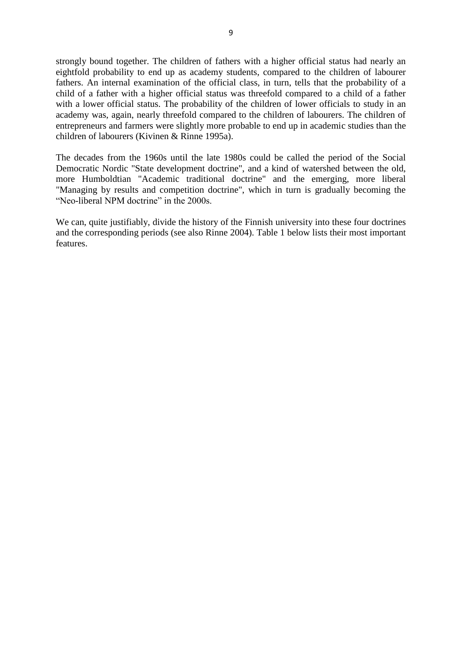strongly bound together. The children of fathers with a higher official status had nearly an eightfold probability to end up as academy students, compared to the children of labourer fathers. An internal examination of the official class, in turn, tells that the probability of a child of a father with a higher official status was threefold compared to a child of a father with a lower official status. The probability of the children of lower officials to study in an academy was, again, nearly threefold compared to the children of labourers. The children of entrepreneurs and farmers were slightly more probable to end up in academic studies than the children of labourers (Kivinen & Rinne 1995a).

The decades from the 1960s until the late 1980s could be called the period of the Social Democratic Nordic "State development doctrine", and a kind of watershed between the old, more Humboldtian "Academic traditional doctrine" and the emerging, more liberal "Managing by results and competition doctrine", which in turn is gradually becoming the "Neo-liberal NPM doctrine" in the 2000s.

We can, quite justifiably, divide the history of the Finnish university into these four doctrines and the corresponding periods (see also Rinne 2004). Table 1 below lists their most important features.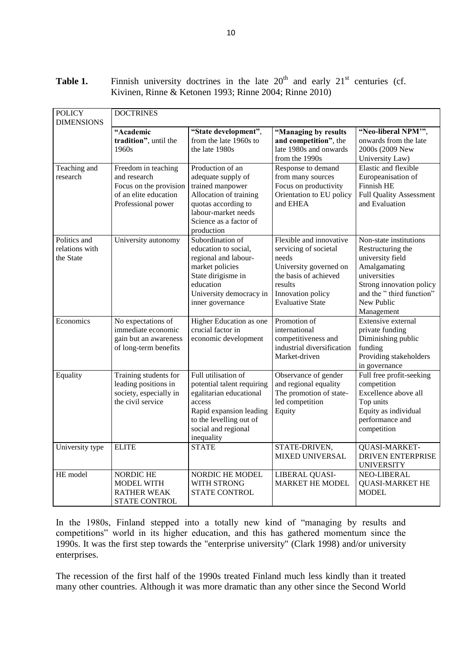Table 1. Finnish university doctrines in the late 20<sup>th</sup> and early 21<sup>st</sup> centuries (cf. Kivinen, Rinne & Ketonen 1993; Rinne 2004; Rinne 2010)

| <b>POLICY</b><br><b>DIMENSIONS</b>          | <b>DOCTRINES</b>                                                                                             |                                                                                                                                                                                   |                                                                                                                                                                         |                                                                                                                                                                                     |  |  |  |
|---------------------------------------------|--------------------------------------------------------------------------------------------------------------|-----------------------------------------------------------------------------------------------------------------------------------------------------------------------------------|-------------------------------------------------------------------------------------------------------------------------------------------------------------------------|-------------------------------------------------------------------------------------------------------------------------------------------------------------------------------------|--|--|--|
|                                             | "Academic<br>tradition", until the<br>1960s                                                                  | "State development",<br>from the late 1960s to<br>the late 1980s                                                                                                                  | "Managing by results<br>and competition", the<br>late 1980s and onwards<br>from the 1990s                                                                               | "Neo-liberal NPM"",<br>onwards from the late<br>2000s (2009 New<br>University Law)                                                                                                  |  |  |  |
| Teaching and<br>research                    | Freedom in teaching<br>and research<br>Focus on the provision<br>of an elite education<br>Professional power | Production of an<br>adequate supply of<br>trained manpower<br>Allocation of training<br>quotas according to<br>labour-market needs<br>Science as a factor of<br>production        | Response to demand<br>from many sources<br>Focus on productivity<br>Orientation to EU policy<br>and EHEA                                                                | Elastic and flexible<br>Europeanisation of<br>Finnish HE<br><b>Full Quality Assessment</b><br>and Evaluation                                                                        |  |  |  |
| Politics and<br>relations with<br>the State | University autonomy                                                                                          | Subordination of<br>education to social,<br>regional and labour-<br>market policies<br>State dirigisme in<br>education<br>University democracy in<br>inner governance             | Flexible and innovative<br>servicing of societal<br>needs<br>University governed on<br>the basis of achieved<br>results<br>Innovation policy<br><b>Evaluative State</b> | Non-state institutions<br>Restructuring the<br>university field<br>Amalgamating<br>universities<br>Strong innovation policy<br>and the "third function"<br>New Public<br>Management |  |  |  |
| Economics                                   | No expectations of<br>immediate economic<br>gain but an awareness<br>of long-term benefits                   | Higher Education as one<br>crucial factor in<br>economic development                                                                                                              | Promotion of<br>international<br>competitiveness and<br>industrial diversification<br>Market-driven                                                                     | Extensive external<br>private funding<br>Diminishing public<br>funding<br>Providing stakeholders<br>in governance                                                                   |  |  |  |
| Equality                                    | Training students for<br>leading positions in<br>society, especially in<br>the civil service                 | Full utilisation of<br>potential talent requiring<br>egalitarian educational<br>access<br>Rapid expansion leading<br>to the levelling out of<br>social and regional<br>inequality | Observance of gender<br>and regional equality<br>The promotion of state-<br>led competition<br>Equity                                                                   | Full free profit-seeking<br>competition<br>Excellence above all<br>Top units<br>Equity as individual<br>performance and<br>competition                                              |  |  |  |
| University type                             | <b>ELITE</b>                                                                                                 | <b>STATE</b>                                                                                                                                                                      | STATE-DRIVEN,<br><b>MIXED UNIVERSAL</b>                                                                                                                                 | QUASI-MARKET-<br><b>DRIVEN ENTERPRISE</b><br><b>UNIVERSITY</b>                                                                                                                      |  |  |  |
| HE model                                    | <b>NORDIC HE</b><br><b>MODEL WITH</b><br><b>RATHER WEAK</b><br><b>STATE CONTROL</b>                          | NORDIC HE MODEL<br>WITH STRONG<br><b>STATE CONTROL</b>                                                                                                                            | LIBERAL QUASI-<br><b>MARKET HE MODEL</b>                                                                                                                                | NEO-LIBERAL<br><b>QUASI-MARKET HE</b><br><b>MODEL</b>                                                                                                                               |  |  |  |

In the 1980s, Finland stepped into a totally new kind of "managing by results and competitions" world in its higher education, and this has gathered momentum since the 1990s. It was the first step towards the "enterprise university" (Clark 1998) and/or university enterprises.

The recession of the first half of the 1990s treated Finland much less kindly than it treated many other countries. Although it was more dramatic than any other since the Second World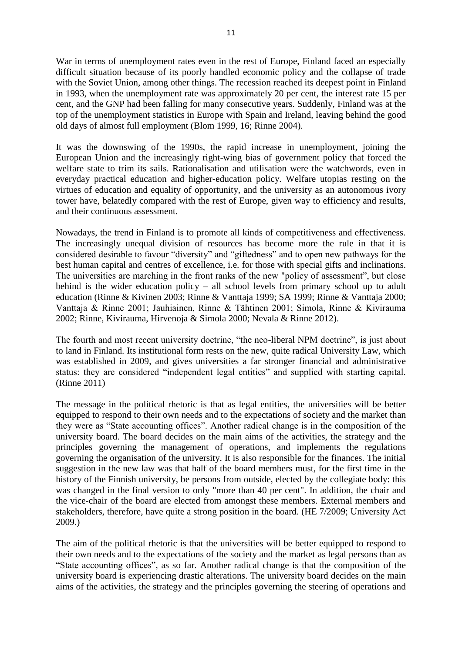War in terms of unemployment rates even in the rest of Europe, Finland faced an especially difficult situation because of its poorly handled economic policy and the collapse of trade with the Soviet Union, among other things. The recession reached its deepest point in Finland in 1993, when the unemployment rate was approximately 20 per cent, the interest rate 15 per cent, and the GNP had been falling for many consecutive years. Suddenly, Finland was at the top of the unemployment statistics in Europe with Spain and Ireland, leaving behind the good old days of almost full employment (Blom 1999, 16; Rinne 2004).

It was the downswing of the 1990s, the rapid increase in unemployment, joining the European Union and the increasingly right-wing bias of government policy that forced the welfare state to trim its sails. Rationalisation and utilisation were the watchwords, even in everyday practical education and higher-education policy. Welfare utopias resting on the virtues of education and equality of opportunity, and the university as an autonomous ivory tower have, belatedly compared with the rest of Europe, given way to efficiency and results, and their continuous assessment.

Nowadays, the trend in Finland is to promote all kinds of competitiveness and effectiveness. The increasingly unequal division of resources has become more the rule in that it is considered desirable to favour "diversity" and "giftedness" and to open new pathways for the best human capital and centres of excellence, i.e. for those with special gifts and inclinations. The universities are marching in the front ranks of the new "policy of assessment", but close behind is the wider education policy – all school levels from primary school up to adult education (Rinne & Kivinen 2003; Rinne & Vanttaja 1999; SA 1999; Rinne & Vanttaja 2000; Vanttaja & Rinne 2001; Jauhiainen, Rinne & Tähtinen 2001; Simola, Rinne & Kivirauma 2002; Rinne, Kivirauma, Hirvenoja & Simola 2000; Nevala & Rinne 2012).

The fourth and most recent university doctrine, "the neo-liberal NPM doctrine", is just about to land in Finland. Its institutional form rests on the new, quite radical University Law, which was established in 2009, and gives universities a far stronger financial and administrative status: they are considered "independent legal entities" and supplied with starting capital. (Rinne 2011)

The message in the political rhetoric is that as legal entities, the universities will be better equipped to respond to their own needs and to the expectations of society and the market than they were as "State accounting offices". Another radical change is in the composition of the university board. The board decides on the main aims of the activities, the strategy and the principles governing the management of operations, and implements the regulations governing the organisation of the university. It is also responsible for the finances. The initial suggestion in the new law was that half of the board members must, for the first time in the history of the Finnish university, be persons from outside, elected by the collegiate body: this was changed in the final version to only "more than 40 per cent". In addition, the chair and the vice-chair of the board are elected from amongst these members. External members and stakeholders, therefore, have quite a strong position in the board. (HE 7/2009; University Act 2009.)

The aim of the political rhetoric is that the universities will be better equipped to respond to their own needs and to the expectations of the society and the market as legal persons than as "State accounting offices", as so far. Another radical change is that the composition of the university board is experiencing drastic alterations. The university board decides on the main aims of the activities, the strategy and the principles governing the steering of operations and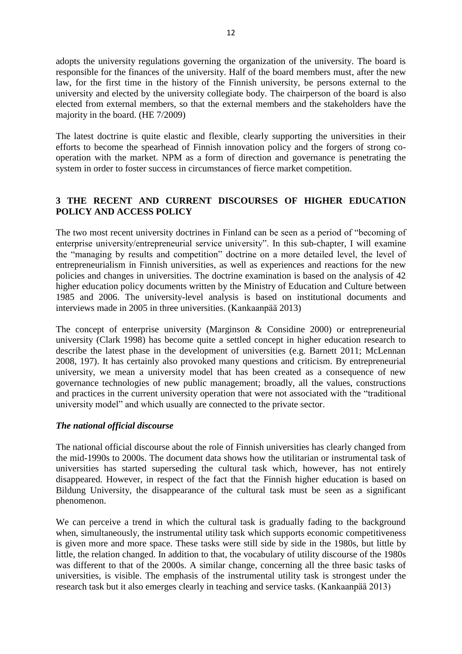adopts the university regulations governing the organization of the university. The board is responsible for the finances of the university. Half of the board members must, after the new law, for the first time in the history of the Finnish university, be persons external to the university and elected by the university collegiate body. The chairperson of the board is also elected from external members, so that the external members and the stakeholders have the majority in the board. (HE 7/2009)

The latest doctrine is quite elastic and flexible, clearly supporting the universities in their efforts to become the spearhead of Finnish innovation policy and the forgers of strong cooperation with the market. NPM as a form of direction and governance is penetrating the system in order to foster success in circumstances of fierce market competition.

# **3 THE RECENT AND CURRENT DISCOURSES OF HIGHER EDUCATION POLICY AND ACCESS POLICY**

The two most recent university doctrines in Finland can be seen as a period of "becoming of enterprise university/entrepreneurial service university". In this sub-chapter, I will examine the "managing by results and competition" doctrine on a more detailed level, the level of entrepreneurialism in Finnish universities, as well as experiences and reactions for the new policies and changes in universities. The doctrine examination is based on the analysis of 42 higher education policy documents written by the Ministry of Education and Culture between 1985 and 2006. The university-level analysis is based on institutional documents and interviews made in 2005 in three universities. (Kankaanpää 2013)

The concept of enterprise university (Marginson & Considine 2000) or entrepreneurial university (Clark 1998) has become quite a settled concept in higher education research to describe the latest phase in the development of universities (e.g. Barnett 2011; McLennan 2008, 197). It has certainly also provoked many questions and criticism. By entrepreneurial university, we mean a university model that has been created as a consequence of new governance technologies of new public management; broadly, all the values, constructions and practices in the current university operation that were not associated with the "traditional university model" and which usually are connected to the private sector.

#### *The national official discourse*

The national official discourse about the role of Finnish universities has clearly changed from the mid-1990s to 2000s. The document data shows how the utilitarian or instrumental task of universities has started superseding the cultural task which, however, has not entirely disappeared. However, in respect of the fact that the Finnish higher education is based on Bildung University, the disappearance of the cultural task must be seen as a significant phenomenon.

We can perceive a trend in which the cultural task is gradually fading to the background when, simultaneously, the instrumental utility task which supports economic competitiveness is given more and more space. These tasks were still side by side in the 1980s, but little by little, the relation changed. In addition to that, the vocabulary of utility discourse of the 1980s was different to that of the 2000s. A similar change, concerning all the three basic tasks of universities, is visible. The emphasis of the instrumental utility task is strongest under the research task but it also emerges clearly in teaching and service tasks. (Kankaanpää 2013)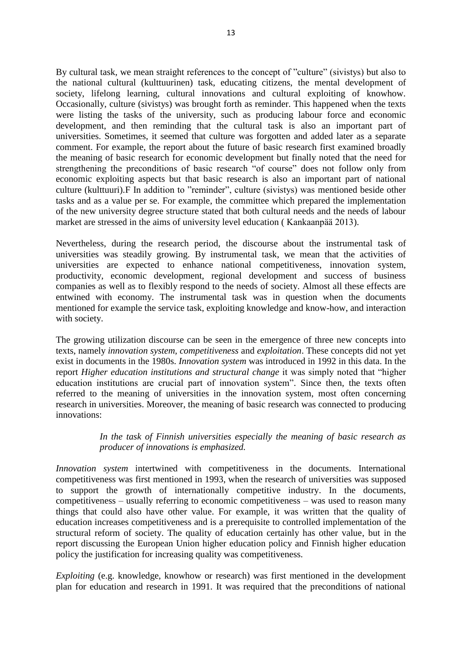By cultural task, we mean straight references to the concept of "culture" (sivistys) but also to the national cultural (kulttuurinen) task, educating citizens, the mental development of society, lifelong learning, cultural innovations and cultural exploiting of knowhow. Occasionally, culture (sivistys) was brought forth as reminder. This happened when the texts were listing the tasks of the university, such as producing labour force and economic development, and then reminding that the cultural task is also an important part of universities. Sometimes, it seemed that culture was forgotten and added later as a separate comment. For example, the report about the future of basic research first examined broadly the meaning of basic research for economic development but finally noted that the need for strengthening the preconditions of basic research "of course" does not follow only from economic exploiting aspects but that basic research is also an important part of national culture (kulttuuri).F In addition to "reminder", culture (sivistys) was mentioned beside other tasks and as a value per se. For example, the committee which prepared the implementation of the new university degree structure stated that both cultural needs and the needs of labour market are stressed in the aims of university level education ( Kankaanpää 2013).

Nevertheless, during the research period, the discourse about the instrumental task of universities was steadily growing. By instrumental task, we mean that the activities of universities are expected to enhance national competitiveness, innovation system, productivity, economic development, regional development and success of business companies as well as to flexibly respond to the needs of society. Almost all these effects are entwined with economy. The instrumental task was in question when the documents mentioned for example the service task, exploiting knowledge and know-how, and interaction with society.

The growing utilization discourse can be seen in the emergence of three new concepts into texts, namely *innovation system, competitiveness* and *exploitation*. These concepts did not yet exist in documents in the 1980s. *Innovation system* was introduced in 1992 in this data. In the report *Higher education institutions and structural change* it was simply noted that "higher education institutions are crucial part of innovation system". Since then, the texts often referred to the meaning of universities in the innovation system, most often concerning research in universities. Moreover, the meaning of basic research was connected to producing innovations:

## *In the task of Finnish universities especially the meaning of basic research as producer of innovations is emphasized.*

*Innovation system* intertwined with competitiveness in the documents. International competitiveness was first mentioned in 1993, when the research of universities was supposed to support the growth of internationally competitive industry. In the documents, competitiveness – usually referring to economic competitiveness – was used to reason many things that could also have other value. For example, it was written that the quality of education increases competitiveness and is a prerequisite to controlled implementation of the structural reform of society. The quality of education certainly has other value, but in the report discussing the European Union higher education policy and Finnish higher education policy the justification for increasing quality was competitiveness.

*Exploiting* (e.g. knowledge, knowhow or research) was first mentioned in the development plan for education and research in 1991. It was required that the preconditions of national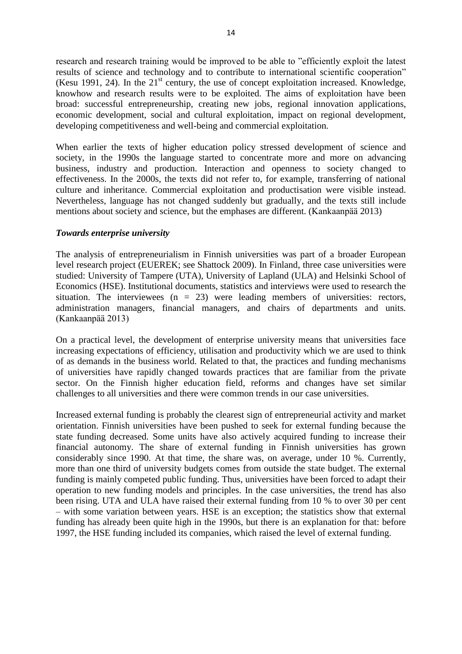research and research training would be improved to be able to "efficiently exploit the latest results of science and technology and to contribute to international scientific cooperation" (Kesu 1991, 24). In the  $21<sup>st</sup>$  century, the use of concept exploitation increased. Knowledge, knowhow and research results were to be exploited. The aims of exploitation have been broad: successful entrepreneurship, creating new jobs, regional innovation applications, economic development, social and cultural exploitation, impact on regional development, developing competitiveness and well-being and commercial exploitation.

When earlier the texts of higher education policy stressed development of science and society, in the 1990s the language started to concentrate more and more on advancing business, industry and production. Interaction and openness to society changed to effectiveness. In the 2000s, the texts did not refer to, for example, transferring of national culture and inheritance. Commercial exploitation and productisation were visible instead. Nevertheless, language has not changed suddenly but gradually, and the texts still include mentions about society and science, but the emphases are different. (Kankaanpää 2013)

#### *Towards enterprise university*

The analysis of entrepreneurialism in Finnish universities was part of a broader European level research project (EUEREK; see Shattock 2009). In Finland, three case universities were studied: University of Tampere (UTA), University of Lapland (ULA) and Helsinki School of Economics (HSE). Institutional documents, statistics and interviews were used to research the situation. The interviewees  $(n = 23)$  were leading members of universities: rectors, administration managers, financial managers, and chairs of departments and units. (Kankaanpää 2013)

On a practical level, the development of enterprise university means that universities face increasing expectations of efficiency, utilisation and productivity which we are used to think of as demands in the business world. Related to that, the practices and funding mechanisms of universities have rapidly changed towards practices that are familiar from the private sector. On the Finnish higher education field, reforms and changes have set similar challenges to all universities and there were common trends in our case universities.

Increased external funding is probably the clearest sign of entrepreneurial activity and market orientation. Finnish universities have been pushed to seek for external funding because the state funding decreased. Some units have also actively acquired funding to increase their financial autonomy. The share of external funding in Finnish universities has grown considerably since 1990. At that time, the share was, on average, under 10 %. Currently, more than one third of university budgets comes from outside the state budget. The external funding is mainly competed public funding. Thus, universities have been forced to adapt their operation to new funding models and principles. In the case universities, the trend has also been rising. UTA and ULA have raised their external funding from 10 % to over 30 per cent – with some variation between years. HSE is an exception; the statistics show that external funding has already been quite high in the 1990s, but there is an explanation for that: before 1997, the HSE funding included its companies, which raised the level of external funding.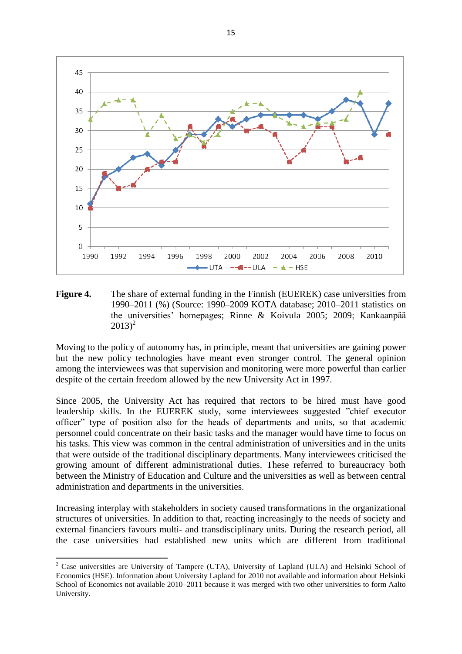

**Figure 4.** The share of external funding in the Finnish (EUEREK) case universities from 1990–2011 (%) (Source: 1990–2009 KOTA database; 2010–2011 statistics on the universities' homepages; Rinne & Koivula 2005; 2009; Kankaanpää  $(2013)^2$ 

Moving to the policy of autonomy has, in principle, meant that universities are gaining power but the new policy technologies have meant even stronger control. The general opinion among the interviewees was that supervision and monitoring were more powerful than earlier despite of the certain freedom allowed by the new University Act in 1997.

Since 2005, the University Act has required that rectors to be hired must have good leadership skills. In the EUEREK study, some interviewees suggested "chief executor officer" type of position also for the heads of departments and units, so that academic personnel could concentrate on their basic tasks and the manager would have time to focus on his tasks. This view was common in the central administration of universities and in the units that were outside of the traditional disciplinary departments. Many interviewees criticised the growing amount of different administrational duties. These referred to bureaucracy both between the Ministry of Education and Culture and the universities as well as between central administration and departments in the universities.

Increasing interplay with stakeholders in society caused transformations in the organizational structures of universities. In addition to that, reacting increasingly to the needs of society and external financiers favours multi- and transdisciplinary units. During the research period, all the case universities had established new units which are different from traditional

**.** 

<sup>&</sup>lt;sup>2</sup> Case universities are University of Tampere (UTA), University of Lapland (ULA) and Helsinki School of Economics (HSE). Information about University Lapland for 2010 not available and information about Helsinki School of Economics not available 2010–2011 because it was merged with two other universities to form Aalto University.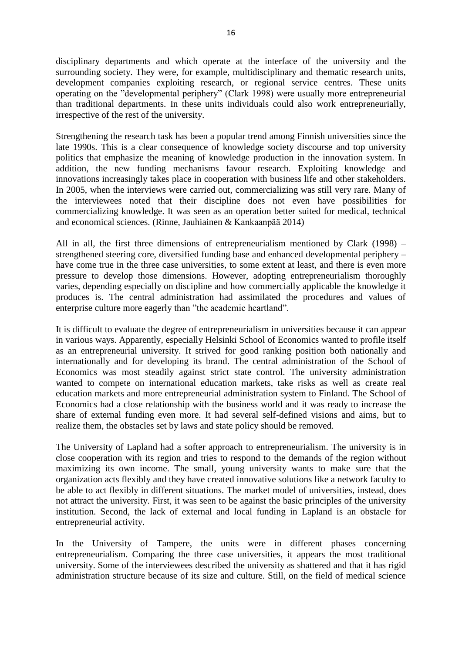disciplinary departments and which operate at the interface of the university and the surrounding society. They were, for example, multidisciplinary and thematic research units, development companies exploiting research, or regional service centres. These units operating on the "developmental periphery" (Clark 1998) were usually more entrepreneurial than traditional departments. In these units individuals could also work entrepreneurially, irrespective of the rest of the university.

Strengthening the research task has been a popular trend among Finnish universities since the late 1990s. This is a clear consequence of knowledge society discourse and top university politics that emphasize the meaning of knowledge production in the innovation system. In addition, the new funding mechanisms favour research. Exploiting knowledge and innovations increasingly takes place in cooperation with business life and other stakeholders. In 2005, when the interviews were carried out, commercializing was still very rare. Many of the interviewees noted that their discipline does not even have possibilities for commercializing knowledge. It was seen as an operation better suited for medical, technical and economical sciences. (Rinne, Jauhiainen & Kankaanpää 2014)

All in all, the first three dimensions of entrepreneurialism mentioned by Clark (1998) – strengthened steering core, diversified funding base and enhanced developmental periphery – have come true in the three case universities, to some extent at least, and there is even more pressure to develop those dimensions. However, adopting entrepreneurialism thoroughly varies, depending especially on discipline and how commercially applicable the knowledge it produces is. The central administration had assimilated the procedures and values of enterprise culture more eagerly than "the academic heartland".

It is difficult to evaluate the degree of entrepreneurialism in universities because it can appear in various ways. Apparently, especially Helsinki School of Economics wanted to profile itself as an entrepreneurial university. It strived for good ranking position both nationally and internationally and for developing its brand. The central administration of the School of Economics was most steadily against strict state control. The university administration wanted to compete on international education markets, take risks as well as create real education markets and more entrepreneurial administration system to Finland. The School of Economics had a close relationship with the business world and it was ready to increase the share of external funding even more. It had several self-defined visions and aims, but to realize them, the obstacles set by laws and state policy should be removed.

The University of Lapland had a softer approach to entrepreneurialism. The university is in close cooperation with its region and tries to respond to the demands of the region without maximizing its own income. The small, young university wants to make sure that the organization acts flexibly and they have created innovative solutions like a network faculty to be able to act flexibly in different situations. The market model of universities, instead, does not attract the university. First, it was seen to be against the basic principles of the university institution. Second, the lack of external and local funding in Lapland is an obstacle for entrepreneurial activity.

In the University of Tampere, the units were in different phases concerning entrepreneurialism. Comparing the three case universities, it appears the most traditional university. Some of the interviewees described the university as shattered and that it has rigid administration structure because of its size and culture. Still, on the field of medical science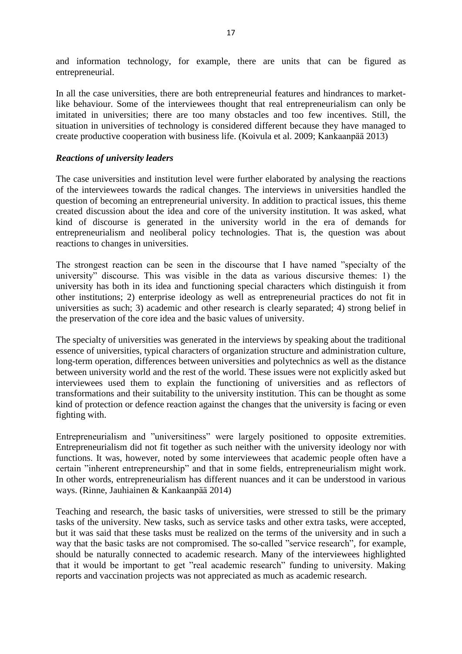and information technology, for example, there are units that can be figured as entrepreneurial.

In all the case universities, there are both entrepreneurial features and hindrances to marketlike behaviour. Some of the interviewees thought that real entrepreneurialism can only be imitated in universities; there are too many obstacles and too few incentives. Still, the situation in universities of technology is considered different because they have managed to create productive cooperation with business life. (Koivula et al. 2009; Kankaanpää 2013)

#### *Reactions of university leaders*

The case universities and institution level were further elaborated by analysing the reactions of the interviewees towards the radical changes. The interviews in universities handled the question of becoming an entrepreneurial university. In addition to practical issues, this theme created discussion about the idea and core of the university institution. It was asked, what kind of discourse is generated in the university world in the era of demands for entrepreneurialism and neoliberal policy technologies. That is, the question was about reactions to changes in universities.

The strongest reaction can be seen in the discourse that I have named "specialty of the university" discourse. This was visible in the data as various discursive themes: 1) the university has both in its idea and functioning special characters which distinguish it from other institutions; 2) enterprise ideology as well as entrepreneurial practices do not fit in universities as such; 3) academic and other research is clearly separated; 4) strong belief in the preservation of the core idea and the basic values of university.

The specialty of universities was generated in the interviews by speaking about the traditional essence of universities, typical characters of organization structure and administration culture, long-term operation, differences between universities and polytechnics as well as the distance between university world and the rest of the world. These issues were not explicitly asked but interviewees used them to explain the functioning of universities and as reflectors of transformations and their suitability to the university institution. This can be thought as some kind of protection or defence reaction against the changes that the university is facing or even fighting with.

Entrepreneurialism and "universitiness" were largely positioned to opposite extremities. Entrepreneurialism did not fit together as such neither with the university ideology nor with functions. It was, however, noted by some interviewees that academic people often have a certain "inherent entrepreneurship" and that in some fields, entrepreneurialism might work. In other words, entrepreneurialism has different nuances and it can be understood in various ways. (Rinne, Jauhiainen & Kankaanpää 2014)

Teaching and research, the basic tasks of universities, were stressed to still be the primary tasks of the university. New tasks, such as service tasks and other extra tasks, were accepted, but it was said that these tasks must be realized on the terms of the university and in such a way that the basic tasks are not compromised. The so-called "service research", for example, should be naturally connected to academic research. Many of the interviewees highlighted that it would be important to get "real academic research" funding to university. Making reports and vaccination projects was not appreciated as much as academic research.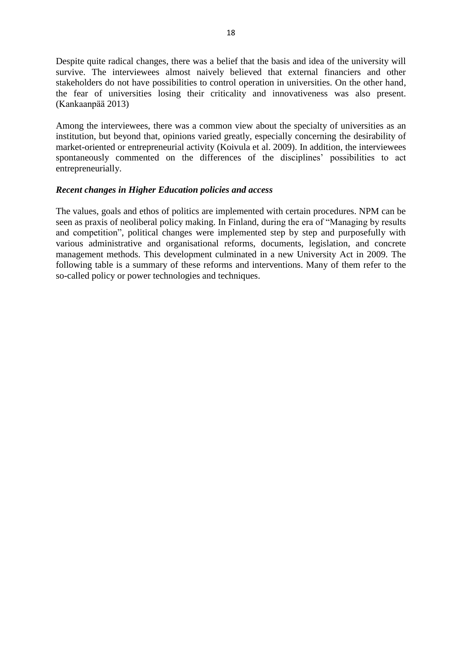Despite quite radical changes, there was a belief that the basis and idea of the university will survive. The interviewees almost naively believed that external financiers and other stakeholders do not have possibilities to control operation in universities. On the other hand, the fear of universities losing their criticality and innovativeness was also present. (Kankaanpää 2013)

Among the interviewees, there was a common view about the specialty of universities as an institution, but beyond that, opinions varied greatly, especially concerning the desirability of market-oriented or entrepreneurial activity (Koivula et al. 2009). In addition, the interviewees spontaneously commented on the differences of the disciplines' possibilities to act entrepreneurially.

#### *Recent changes in Higher Education policies and access*

The values, goals and ethos of politics are implemented with certain procedures. NPM can be seen as praxis of neoliberal policy making. In Finland, during the era of "Managing by results and competition", political changes were implemented step by step and purposefully with various administrative and organisational reforms, documents, legislation, and concrete management methods. This development culminated in a new University Act in 2009. The following table is a summary of these reforms and interventions. Many of them refer to the so-called policy or power technologies and techniques.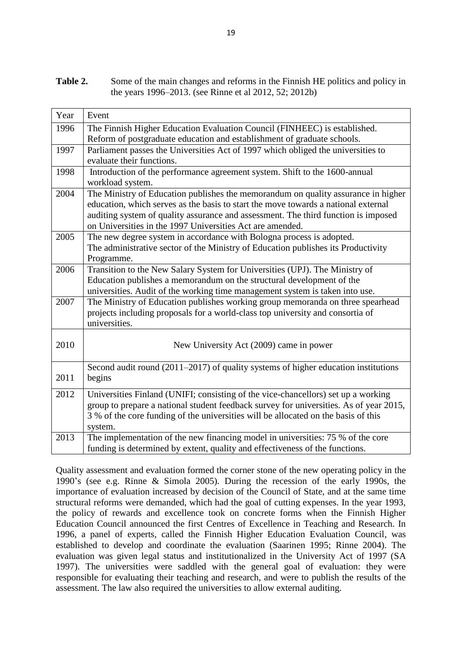**Table 2.** Some of the main changes and reforms in the Finnish HE politics and policy in the years 1996–2013. (see Rinne et al 2012, 52; 2012b)

| Year | Event                                                                                  |
|------|----------------------------------------------------------------------------------------|
| 1996 | The Finnish Higher Education Evaluation Council (FINHEEC) is established.              |
|      | Reform of postgraduate education and establishment of graduate schools.                |
| 1997 | Parliament passes the Universities Act of 1997 which obliged the universities to       |
|      | evaluate their functions.                                                              |
| 1998 | Introduction of the performance agreement system. Shift to the 1600-annual             |
|      | workload system.                                                                       |
| 2004 | The Ministry of Education publishes the memorandum on quality assurance in higher      |
|      | education, which serves as the basis to start the move towards a national external     |
|      | auditing system of quality assurance and assessment. The third function is imposed     |
|      | on Universities in the 1997 Universities Act are amended.                              |
| 2005 | The new degree system in accordance with Bologna process is adopted.                   |
|      | The administrative sector of the Ministry of Education publishes its Productivity      |
|      | Programme.                                                                             |
| 2006 | Transition to the New Salary System for Universities (UPJ). The Ministry of            |
|      | Education publishes a memorandum on the structural development of the                  |
|      | universities. Audit of the working time management system is taken into use.           |
| 2007 | The Ministry of Education publishes working group memoranda on three spearhead         |
|      | projects including proposals for a world-class top university and consortia of         |
|      | universities.                                                                          |
|      |                                                                                        |
| 2010 | New University Act (2009) came in power                                                |
|      |                                                                                        |
| 2011 | Second audit round $(2011-2017)$ of quality systems of higher education institutions   |
|      | begins                                                                                 |
| 2012 | Universities Finland (UNIFI; consisting of the vice-chancellors) set up a working      |
|      | group to prepare a national student feedback survey for universities. As of year 2015, |
|      | 3 % of the core funding of the universities will be allocated on the basis of this     |
|      | system.                                                                                |
| 2013 | The implementation of the new financing model in universities: 75 % of the core        |
|      | funding is determined by extent, quality and effectiveness of the functions.           |

Quality assessment and evaluation formed the corner stone of the new operating policy in the 1990's (see e.g. Rinne & Simola 2005). During the recession of the early 1990s, the importance of evaluation increased by decision of the Council of State, and at the same time structural reforms were demanded, which had the goal of cutting expenses. In the year 1993, the policy of rewards and excellence took on concrete forms when the Finnish Higher Education Council announced the first Centres of Excellence in Teaching and Research. In 1996, a panel of experts, called the Finnish Higher Education Evaluation Council, was established to develop and coordinate the evaluation (Saarinen 1995; Rinne 2004). The evaluation was given legal status and institutionalized in the University Act of 1997 (SA 1997). The universities were saddled with the general goal of evaluation: they were responsible for evaluating their teaching and research, and were to publish the results of the assessment. The law also required the universities to allow external auditing.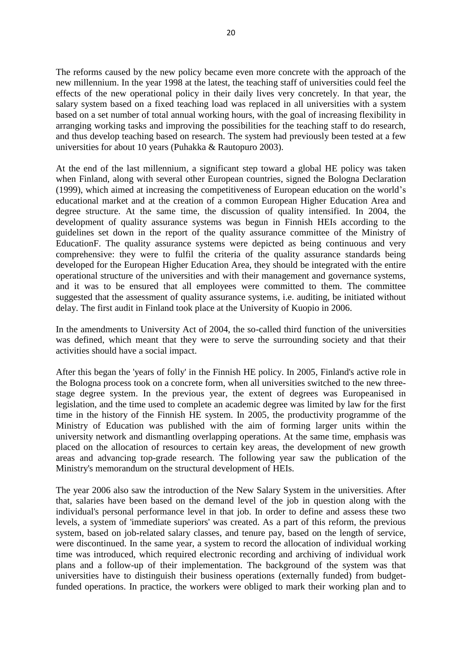The reforms caused by the new policy became even more concrete with the approach of the new millennium. In the year 1998 at the latest, the teaching staff of universities could feel the effects of the new operational policy in their daily lives very concretely. In that year, the salary system based on a fixed teaching load was replaced in all universities with a system based on a set number of total annual working hours, with the goal of increasing flexibility in arranging working tasks and improving the possibilities for the teaching staff to do research, and thus develop teaching based on research. The system had previously been tested at a few universities for about 10 years (Puhakka & Rautopuro 2003).

At the end of the last millennium, a significant step toward a global HE policy was taken when Finland, along with several other European countries, signed the Bologna Declaration (1999), which aimed at increasing the competitiveness of European education on the world's educational market and at the creation of a common European Higher Education Area and degree structure. At the same time, the discussion of quality intensified. In 2004, the development of quality assurance systems was begun in Finnish HEIs according to the guidelines set down in the report of the quality assurance committee of the Ministry of EducationF. The quality assurance systems were depicted as being continuous and very comprehensive: they were to fulfil the criteria of the quality assurance standards being developed for the European Higher Education Area, they should be integrated with the entire operational structure of the universities and with their management and governance systems, and it was to be ensured that all employees were committed to them. The committee suggested that the assessment of quality assurance systems, i.e. auditing, be initiated without delay. The first audit in Finland took place at the University of Kuopio in 2006.

In the amendments to University Act of 2004, the so-called third function of the universities was defined, which meant that they were to serve the surrounding society and that their activities should have a social impact.

After this began the 'years of folly' in the Finnish HE policy. In 2005, Finland's active role in the Bologna process took on a concrete form, when all universities switched to the new threestage degree system. In the previous year, the extent of degrees was Europeanised in legislation, and the time used to complete an academic degree was limited by law for the first time in the history of the Finnish HE system. In 2005, the productivity programme of the Ministry of Education was published with the aim of forming larger units within the university network and dismantling overlapping operations. At the same time, emphasis was placed on the allocation of resources to certain key areas, the development of new growth areas and advancing top-grade research. The following year saw the publication of the Ministry's memorandum on the structural development of HEIs.

The year 2006 also saw the introduction of the New Salary System in the universities. After that, salaries have been based on the demand level of the job in question along with the individual's personal performance level in that job. In order to define and assess these two levels, a system of 'immediate superiors' was created. As a part of this reform, the previous system, based on job-related salary classes, and tenure pay, based on the length of service, were discontinued. In the same year, a system to record the allocation of individual working time was introduced, which required electronic recording and archiving of individual work plans and a follow-up of their implementation. The background of the system was that universities have to distinguish their business operations (externally funded) from budgetfunded operations. In practice, the workers were obliged to mark their working plan and to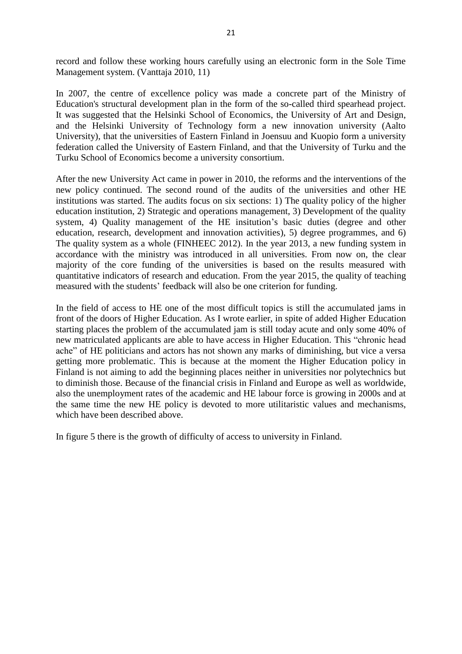record and follow these working hours carefully using an electronic form in the Sole Time Management system. (Vanttaja 2010, 11)

In 2007, the centre of excellence policy was made a concrete part of the Ministry of Education's structural development plan in the form of the so-called third spearhead project. It was suggested that the Helsinki School of Economics, the University of Art and Design, and the Helsinki University of Technology form a new innovation university (Aalto University), that the universities of Eastern Finland in Joensuu and Kuopio form a university federation called the University of Eastern Finland, and that the University of Turku and the Turku School of Economics become a university consortium.

After the new University Act came in power in 2010, the reforms and the interventions of the new policy continued. The second round of the audits of the universities and other HE institutions was started. The audits focus on six sections: 1) The quality policy of the higher education institution, 2) Strategic and operations management, 3) Development of the quality system, 4) Quality management of the HE insitution's basic duties (degree and other education, research, development and innovation activities), 5) degree programmes, and 6) The quality system as a whole (FINHEEC 2012). In the year 2013, a new funding system in accordance with the ministry was introduced in all universities. From now on, the clear majority of the core funding of the universities is based on the results measured with quantitative indicators of research and education. From the year 2015, the quality of teaching measured with the students' feedback will also be one criterion for funding.

In the field of access to HE one of the most difficult topics is still the accumulated jams in front of the doors of Higher Education. As I wrote earlier, in spite of added Higher Education starting places the problem of the accumulated jam is still today acute and only some 40% of new matriculated applicants are able to have access in Higher Education. This "chronic head ache" of HE politicians and actors has not shown any marks of diminishing, but vice a versa getting more problematic. This is because at the moment the Higher Education policy in Finland is not aiming to add the beginning places neither in universities nor polytechnics but to diminish those. Because of the financial crisis in Finland and Europe as well as worldwide, also the unemployment rates of the academic and HE labour force is growing in 2000s and at the same time the new HE policy is devoted to more utilitaristic values and mechanisms, which have been described above.

In figure 5 there is the growth of difficulty of access to university in Finland.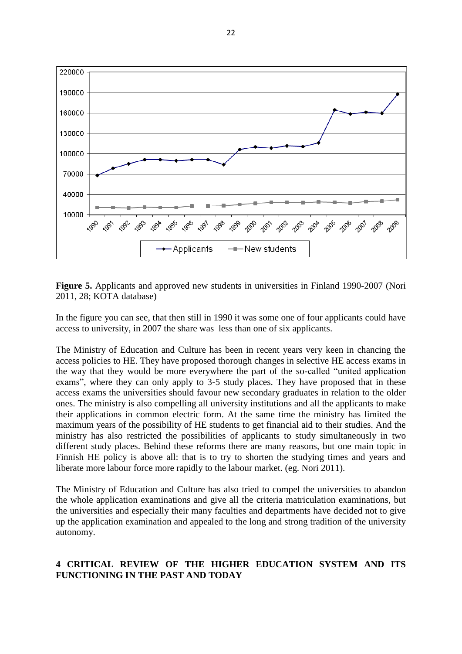

**Figure 5.** Applicants and approved new students in universities in Finland 1990-2007 (Nori 2011, 28; KOTA database)

In the figure you can see, that then still in 1990 it was some one of four applicants could have access to university, in 2007 the share was less than one of six applicants.

The Ministry of Education and Culture has been in recent years very keen in chancing the access policies to HE. They have proposed thorough changes in selective HE access exams in the way that they would be more everywhere the part of the so-called "united application exams", where they can only apply to 3-5 study places. They have proposed that in these access exams the universities should favour new secondary graduates in relation to the older ones. The ministry is also compelling all university institutions and all the applicants to make their applications in common electric form. At the same time the ministry has limited the maximum years of the possibility of HE students to get financial aid to their studies. And the ministry has also restricted the possibilities of applicants to study simultaneously in two different study places. Behind these reforms there are many reasons, but one main topic in Finnish HE policy is above all: that is to try to shorten the studying times and years and liberate more labour force more rapidly to the labour market. (eg. Nori 2011).

The Ministry of Education and Culture has also tried to compel the universities to abandon the whole application examinations and give all the criteria matriculation examinations, but the universities and especially their many faculties and departments have decided not to give up the application examination and appealed to the long and strong tradition of the university autonomy.

## **4 CRITICAL REVIEW OF THE HIGHER EDUCATION SYSTEM AND ITS FUNCTIONING IN THE PAST AND TODAY**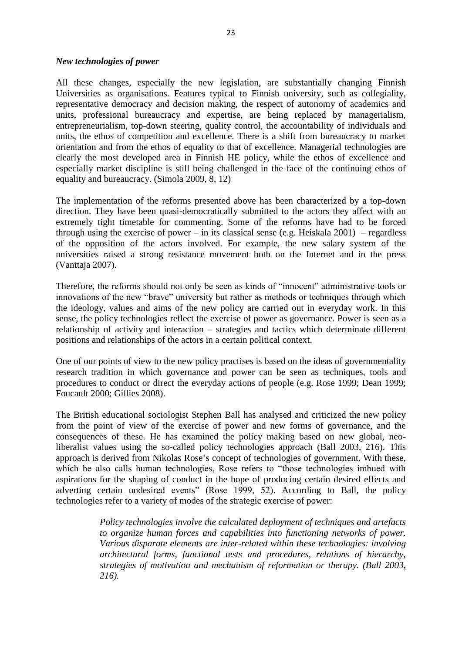#### *New technologies of power*

All these changes, especially the new legislation, are substantially changing Finnish Universities as organisations. Features typical to Finnish university, such as collegiality, representative democracy and decision making, the respect of autonomy of academics and units, professional bureaucracy and expertise, are being replaced by managerialism, entrepreneurialism, top-down steering, quality control, the accountability of individuals and units, the ethos of competition and excellence. There is a shift from bureaucracy to market orientation and from the ethos of equality to that of excellence. Managerial technologies are clearly the most developed area in Finnish HE policy, while the ethos of excellence and especially market discipline is still being challenged in the face of the continuing ethos of equality and bureaucracy. (Simola 2009, 8, 12)

The implementation of the reforms presented above has been characterized by a top-down direction. They have been quasi-democratically submitted to the actors they affect with an extremely tight timetable for commenting. Some of the reforms have had to be forced through using the exercise of power – in its classical sense (e.g. Heiskala  $2001$ ) – regardless of the opposition of the actors involved. For example, the new salary system of the universities raised a strong resistance movement both on the Internet and in the press (Vanttaja 2007).

Therefore, the reforms should not only be seen as kinds of "innocent" administrative tools or innovations of the new "brave" university but rather as methods or techniques through which the ideology, values and aims of the new policy are carried out in everyday work. In this sense, the policy technologies reflect the exercise of power as governance. Power is seen as a relationship of activity and interaction – strategies and tactics which determinate different positions and relationships of the actors in a certain political context.

One of our points of view to the new policy practises is based on the ideas of governmentality research tradition in which governance and power can be seen as techniques, tools and procedures to conduct or direct the everyday actions of people (e.g. Rose 1999; Dean 1999; Foucault 2000; Gillies 2008).

The British educational sociologist Stephen Ball has analysed and criticized the new policy from the point of view of the exercise of power and new forms of governance, and the consequences of these. He has examined the policy making based on new global, neoliberalist values using the so-called policy technologies approach (Ball 2003, 216). This approach is derived from Nikolas Rose's concept of technologies of government. With these, which he also calls human technologies, Rose refers to "those technologies imbued with aspirations for the shaping of conduct in the hope of producing certain desired effects and adverting certain undesired events" (Rose 1999, 52). According to Ball, the policy technologies refer to a variety of modes of the strategic exercise of power:

> *Policy technologies involve the calculated deployment of techniques and artefacts to organize human forces and capabilities into functioning networks of power. Various disparate elements are inter-related within these technologies: involving architectural forms, functional tests and procedures, relations of hierarchy, strategies of motivation and mechanism of reformation or therapy. (Ball 2003, 216).*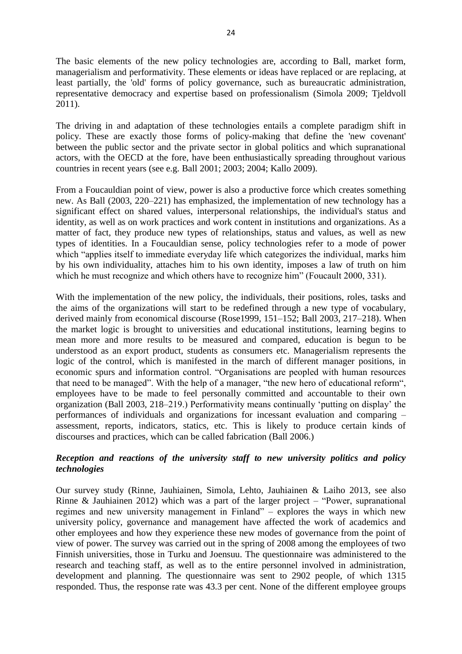The basic elements of the new policy technologies are, according to Ball, market form, managerialism and performativity. These elements or ideas have replaced or are replacing, at least partially, the 'old' forms of policy governance, such as bureaucratic administration, representative democracy and expertise based on professionalism (Simola 2009; Tjeldvoll 2011).

The driving in and adaptation of these technologies entails a complete paradigm shift in policy. These are exactly those forms of policy-making that define the 'new covenant' between the public sector and the private sector in global politics and which supranational actors, with the OECD at the fore, have been enthusiastically spreading throughout various countries in recent years (see e.g. Ball 2001; 2003; 2004; Kallo 2009).

From a Foucauldian point of view, power is also a productive force which creates something new. As Ball (2003, 220–221) has emphasized, the implementation of new technology has a significant effect on shared values, interpersonal relationships, the individual's status and identity, as well as on work practices and work content in institutions and organizations. As a matter of fact, they produce new types of relationships, status and values, as well as new types of identities. In a Foucauldian sense, policy technologies refer to a mode of power which "applies itself to immediate everyday life which categorizes the individual, marks him by his own individuality, attaches him to his own identity, imposes a law of truth on him which he must recognize and which others have to recognize him" (Foucault 2000, 331).

With the implementation of the new policy, the individuals, their positions, roles, tasks and the aims of the organizations will start to be redefined through a new type of vocabulary, derived mainly from economical discourse (Rose1999, 151–152; Ball 2003, 217–218). When the market logic is brought to universities and educational institutions, learning begins to mean more and more results to be measured and compared, education is begun to be understood as an export product, students as consumers etc. Managerialism represents the logic of the control, which is manifested in the march of different manager positions, in economic spurs and information control. "Organisations are peopled with human resources that need to be managed". With the help of a manager, "the new hero of educational reform", employees have to be made to feel personally committed and accountable to their own organization (Ball 2003, 218–219.) Performativity means continually 'putting on display' the performances of individuals and organizations for incessant evaluation and comparing – assessment, reports, indicators, statics, etc. This is likely to produce certain kinds of discourses and practices, which can be called fabrication (Ball 2006.)

# *Reception and reactions of the university staff to new university politics and policy technologies*

Our survey study (Rinne, Jauhiainen, Simola, Lehto, Jauhiainen & Laiho 2013, see also Rinne & Jauhiainen 2012) which was a part of the larger project – "Power, supranational regimes and new university management in Finland" – explores the ways in which new university policy, governance and management have affected the work of academics and other employees and how they experience these new modes of governance from the point of view of power. The survey was carried out in the spring of 2008 among the employees of two Finnish universities, those in Turku and Joensuu. The questionnaire was administered to the research and teaching staff, as well as to the entire personnel involved in administration, development and planning. The questionnaire was sent to 2902 people, of which 1315 responded. Thus, the response rate was 43.3 per cent. None of the different employee groups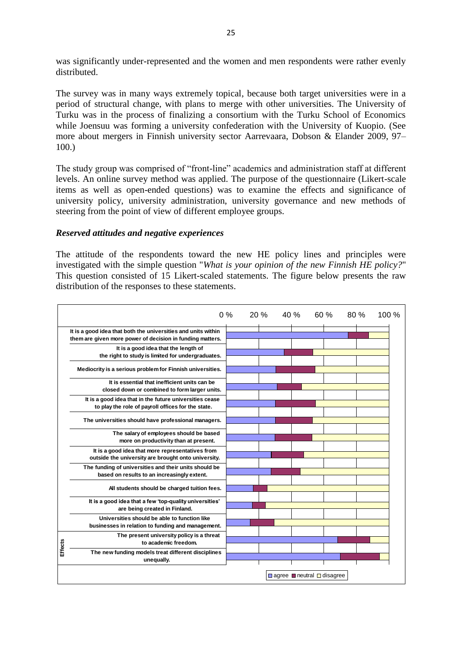was significantly under-represented and the women and men respondents were rather evenly distributed.

The survey was in many ways extremely topical, because both target universities were in a period of structural change, with plans to merge with other universities. The University of Turku was in the process of finalizing a consortium with the Turku School of Economics while Joensuu was forming a university confederation with the University of Kuopio. (See more about mergers in Finnish university sector Aarrevaara, Dobson & Elander 2009, 97– 100.)

The study group was comprised of "front-line" academics and administration staff at different levels. An online survey method was applied. The purpose of the questionnaire (Likert-scale items as well as open-ended questions) was to examine the effects and significance of university policy, university administration, university governance and new methods of steering from the point of view of different employee groups.

#### *Reserved attitudes and negative experiences*

The attitude of the respondents toward the new HE policy lines and principles were investigated with the simple question "*What is your opinion of the new Finnish HE policy?*" This question consisted of 15 Likert-scaled statements. The figure below presents the raw distribution of the responses to these statements.

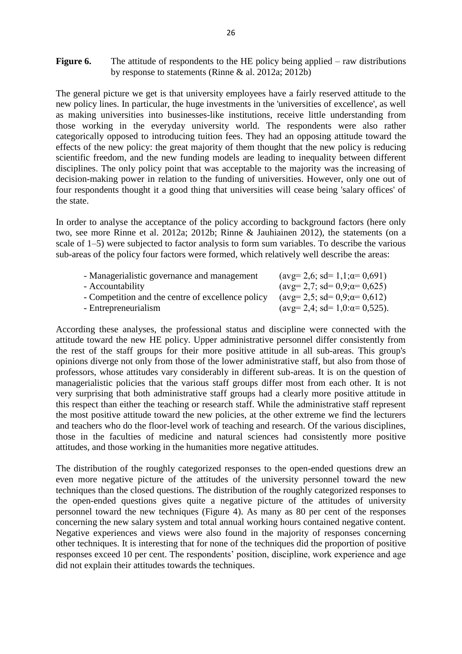**Figure 6.** The attitude of respondents to the HE policy being applied – raw distributions by response to statements (Rinne & al. 2012a; 2012b)

The general picture we get is that university employees have a fairly reserved attitude to the new policy lines. In particular, the huge investments in the 'universities of excellence', as well as making universities into businesses-like institutions, receive little understanding from those working in the everyday university world. The respondents were also rather categorically opposed to introducing tuition fees. They had an opposing attitude toward the effects of the new policy: the great majority of them thought that the new policy is reducing scientific freedom, and the new funding models are leading to inequality between different disciplines. The only policy point that was acceptable to the majority was the increasing of decision-making power in relation to the funding of universities. However, only one out of four respondents thought it a good thing that universities will cease being 'salary offices' of the state.

In order to analyse the acceptance of the policy according to background factors (here only two, see more Rinne et al. 2012a; 2012b; Rinne & Jauhiainen 2012), the statements (on a scale of 1–5) were subjected to factor analysis to form sum variables. To describe the various sub-areas of the policy four factors were formed, which relatively well describe the areas:

| - Managerialistic governance and management       | $(\text{avg}= 2.6; \text{ sd}= 1.1; \alpha= 0.691)$   |
|---------------------------------------------------|-------------------------------------------------------|
| - Accountability                                  | $(\text{avg}= 2.7; \text{ sd}= 0.9; \text{α}= 0.625)$ |
| - Competition and the centre of excellence policy | $(\text{avg}= 2.5; \text{ sd}= 0.9; \alpha= 0.612)$   |
| - Entrepreneurialism                              | $(\text{avg}= 2.4; \text{ sd}= 1.0; \alpha = 0.525).$ |

According these analyses, the professional status and discipline were connected with the attitude toward the new HE policy. Upper administrative personnel differ consistently from the rest of the staff groups for their more positive attitude in all sub-areas. This group's opinions diverge not only from those of the lower administrative staff, but also from those of professors, whose attitudes vary considerably in different sub-areas. It is on the question of managerialistic policies that the various staff groups differ most from each other. It is not very surprising that both administrative staff groups had a clearly more positive attitude in this respect than either the teaching or research staff. While the administrative staff represent the most positive attitude toward the new policies, at the other extreme we find the lecturers and teachers who do the floor-level work of teaching and research. Of the various disciplines, those in the faculties of medicine and natural sciences had consistently more positive attitudes, and those working in the humanities more negative attitudes.

The distribution of the roughly categorized responses to the open-ended questions drew an even more negative picture of the attitudes of the university personnel toward the new techniques than the closed questions. The distribution of the roughly categorized responses to the open-ended questions gives quite a negative picture of the attitudes of university personnel toward the new techniques (Figure 4). As many as 80 per cent of the responses concerning the new salary system and total annual working hours contained negative content. Negative experiences and views were also found in the majority of responses concerning other techniques. It is interesting that for none of the techniques did the proportion of positive responses exceed 10 per cent. The respondents' position, discipline, work experience and age did not explain their attitudes towards the techniques.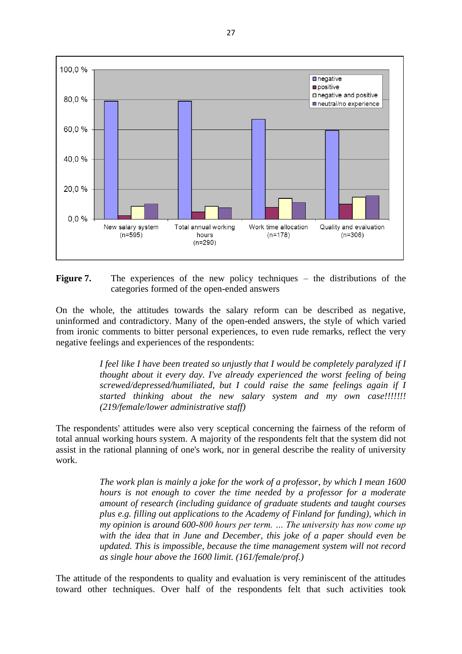

**Figure 7.** The experiences of the new policy techniques – the distributions of the categories formed of the open-ended answers

On the whole, the attitudes towards the salary reform can be described as negative, uninformed and contradictory. Many of the open-ended answers, the style of which varied from ironic comments to bitter personal experiences, to even rude remarks, reflect the very negative feelings and experiences of the respondents:

> *I feel like I have been treated so unjustly that I would be completely paralyzed if I thought about it every day. I've already experienced the worst feeling of being screwed/depressed/humiliated, but I could raise the same feelings again if I started thinking about the new salary system and my own case!!!!!!! (219/female/lower administrative staff)*

The respondents' attitudes were also very sceptical concerning the fairness of the reform of total annual working hours system. A majority of the respondents felt that the system did not assist in the rational planning of one's work, nor in general describe the reality of university work.

> *The work plan is mainly a joke for the work of a professor, by which I mean 1600 hours is not enough to cover the time needed by a professor for a moderate amount of research (including guidance of graduate students and taught courses plus e.g. filling out applications to the Academy of Finland for funding), which in my opinion is around 600-800 hours per term. … The university has now come up with the idea that in June and December, this joke of a paper should even be updated. This is impossible, because the time management system will not record as single hour above the 1600 limit. (161/female/prof.)*

The attitude of the respondents to quality and evaluation is very reminiscent of the attitudes toward other techniques. Over half of the respondents felt that such activities took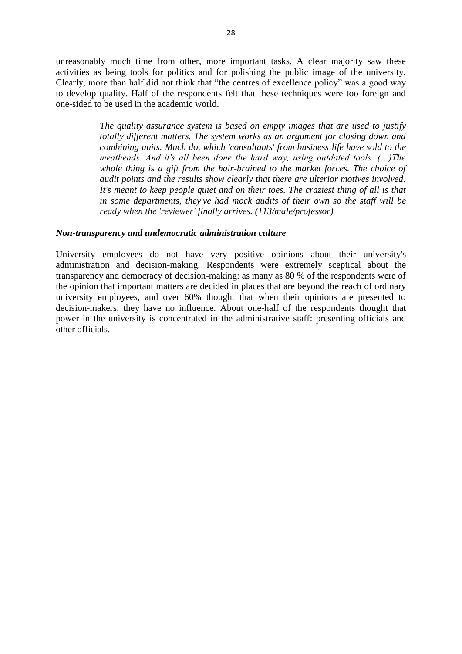unreasonably much time from other, more important tasks. A clear majority saw these activities as being tools for politics and for polishing the public image of the university. Clearly, more than half did not think that "the centres of excellence policy" was a good way to develop quality. Half of the respondents felt that these techniques were too foreign and one-sided to be used in the academic world.

> *The quality assurance system is based on empty images that are used to justify totally different matters. The system works as an argument for closing down and combining units. Much do, which 'consultants' from business life have sold to the meatheads. And it's all been done the hard way, using outdated tools. (…)The whole thing is a gift from the hair-brained to the market forces. The choice of audit points and the results show clearly that there are ulterior motives involved. It's meant to keep people quiet and on their toes. The craziest thing of all is that in some departments, they've had mock audits of their own so the staff will be ready when the 'reviewer' finally arrives. (113/male/professor)*

#### *Non-transparency and undemocratic administration culture*

University employees do not have very positive opinions about their university's administration and decision-making. Respondents were extremely sceptical about the transparency and democracy of decision-making: as many as 80 % of the respondents were of the opinion that important matters are decided in places that are beyond the reach of ordinary university employees, and over 60% thought that when their opinions are presented to decision-makers, they have no influence. About one-half of the respondents thought that power in the university is concentrated in the administrative staff: presenting officials and other officials.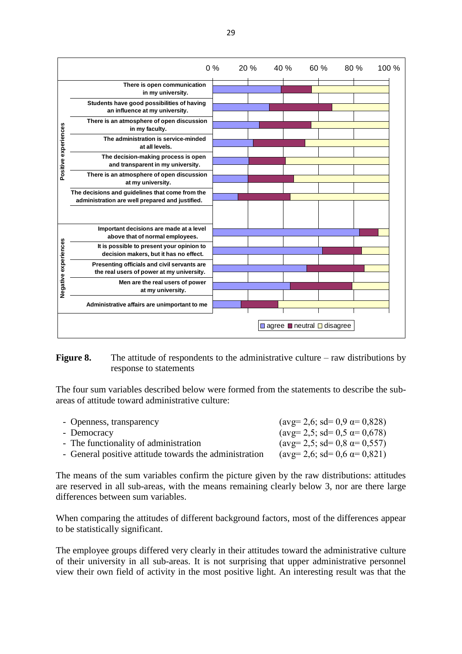

#### Figure 8. The attitude of respondents to the administrative culture – raw distributions by response to statements

The four sum variables described below were formed from the statements to describe the subareas of attitude toward administrative culture:

| - Openness, transparency                               | $(\text{avg}=2.6; \text{ sd}=0.9 \text{ }\alpha=0.828)$ |
|--------------------------------------------------------|---------------------------------------------------------|
| - Democracy                                            | $(\text{avg}=2.5; \text{ sd}=0.5 \text{ }\alpha=0.678)$ |
| - The functionality of administration                  | $(\text{avg}=2.5; \text{ sd}=0.8 \text{ }\alpha=0.557)$ |
| - General positive attitude towards the administration | $(\text{avg}=2.6; \text{ sd}=0.6 \text{ }\alpha=0.821)$ |
|                                                        |                                                         |

The means of the sum variables confirm the picture given by the raw distributions: attitudes are reserved in all sub-areas, with the means remaining clearly below 3, nor are there large differences between sum variables.

When comparing the attitudes of different background factors, most of the differences appear to be statistically significant.

The employee groups differed very clearly in their attitudes toward the administrative culture of their university in all sub-areas. It is not surprising that upper administrative personnel view their own field of activity in the most positive light. An interesting result was that the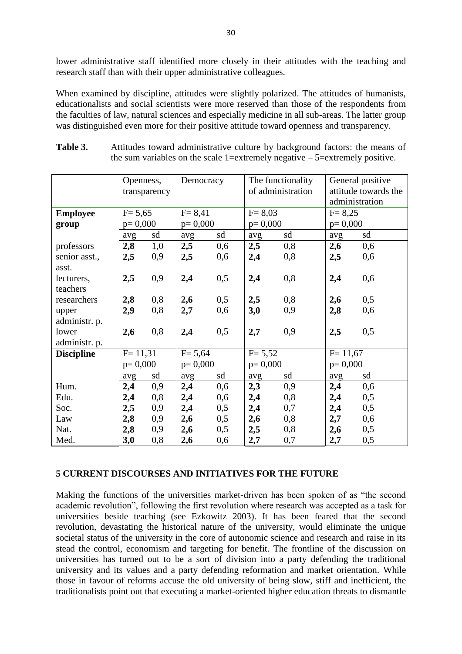lower administrative staff identified more closely in their attitudes with the teaching and research staff than with their upper administrative colleagues.

When examined by discipline, attitudes were slightly polarized. The attitudes of humanists, educationalists and social scientists were more reserved than those of the respondents from the faculties of law, natural sciences and especially medicine in all sub-areas. The latter group was distinguished even more for their positive attitude toward openness and transparency.

|                   | Openness,   |              | Democracy  |     | The functionality |     | General positive     |     |
|-------------------|-------------|--------------|------------|-----|-------------------|-----|----------------------|-----|
|                   |             | transparency |            |     | of administration |     | attitude towards the |     |
|                   |             |              |            |     |                   |     | administration       |     |
| <b>Employee</b>   | $F = 5,65$  |              | $F = 8,41$ |     | $F = 8,03$        |     | $F = 8,25$           |     |
| group             | $p=0,000$   |              | $p=0,000$  |     | $p=0,000$         |     | $p=0,000$            |     |
|                   | avg         | sd           | avg        | sd  | avg               | sd  | avg                  | sd  |
| professors        | 2,8         | 1,0          | 2,5        | 0,6 | 2,5               | 0,8 | 2,6                  | 0,6 |
| senior asst.,     | 2,5         | 0,9          | 2,5        | 0,6 | 2,4               | 0,8 | 2,5                  | 0,6 |
| asst.             |             |              |            |     |                   |     |                      |     |
| lecturers,        | 2,5         | 0,9          | 2,4        | 0,5 | 2,4               | 0,8 | 2,4                  | 0,6 |
| teachers          |             |              |            |     |                   |     |                      |     |
| researchers       | 2,8         | 0,8          | 2,6        | 0,5 | 2,5               | 0,8 | 2,6                  | 0,5 |
| upper             | 2,9         | 0,8          | 2,7        | 0,6 | 3,0               | 0,9 | 2,8                  | 0,6 |
| administr. p.     |             |              |            |     |                   |     |                      |     |
| lower             | 2,6         | 0,8          | 2,4        | 0,5 | 2,7               | 0,9 | 2,5                  | 0,5 |
| administr. p.     |             |              |            |     |                   |     |                      |     |
| <b>Discipline</b> | $F = 11,31$ |              | $F = 5,64$ |     | $F = 5,52$        |     | $F = 11,67$          |     |
|                   | $p=0,000$   |              | $p=0,000$  |     | $p=0,000$         |     | $p=0,000$            |     |
|                   | avg         | sd           | avg        | sd  | avg               | sd  | avg                  | sd  |
| Hum.              | 2,4         | 0,9          | 2,4        | 0,6 | 2,3               | 0,9 | 2,4                  | 0,6 |
| Edu.              | 2,4         | 0,8          | 2,4        | 0,6 | 2,4               | 0,8 | 2,4                  | 0,5 |
| Soc.              | 2,5         | 0,9          | 2,4        | 0,5 | 2,4               | 0,7 | 2,4                  | 0,5 |
| Law               | 2,8         | 0,9          | 2,6        | 0,5 | 2,6               | 0,8 | 2,7                  | 0,6 |
| Nat.              | 2,8         | 0,9          | 2,6        | 0,5 | 2,5               | 0,8 | 2,6                  | 0,5 |
| Med.              | 3,0         | 0,8          | 2,6        | 0,6 | 2,7               | 0,7 | 2,7                  | 0,5 |

Table 3. Attitudes toward administrative culture by background factors: the means of the sum variables on the scale 1=extremely negative  $-5$ =extremely positive.

#### **5 CURRENT DISCOURSES AND INITIATIVES FOR THE FUTURE**

Making the functions of the universities market-driven has been spoken of as "the second academic revolution", following the first revolution where research was accepted as a task for universities beside teaching (see Ezkowitz 2003). It has been feared that the second revolution, devastating the historical nature of the university, would eliminate the unique societal status of the university in the core of autonomic science and research and raise in its stead the control, economism and targeting for benefit. The frontline of the discussion on universities has turned out to be a sort of division into a party defending the traditional university and its values and a party defending reformation and market orientation. While those in favour of reforms accuse the old university of being slow, stiff and inefficient, the traditionalists point out that executing a market-oriented higher education threats to dismantle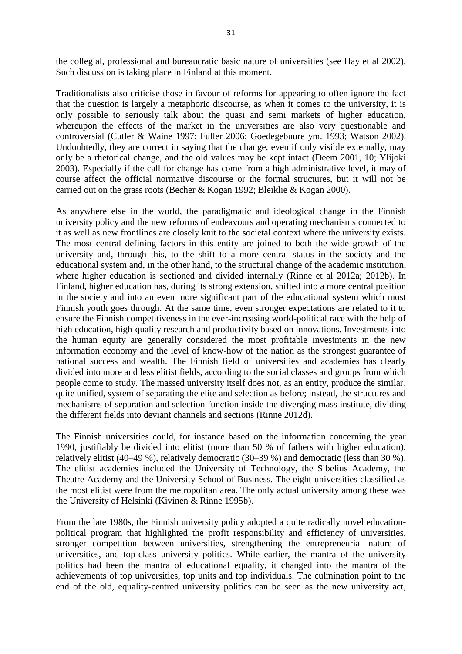the collegial, professional and bureaucratic basic nature of universities (see Hay et al 2002). Such discussion is taking place in Finland at this moment.

Traditionalists also criticise those in favour of reforms for appearing to often ignore the fact that the question is largely a metaphoric discourse, as when it comes to the university, it is only possible to seriously talk about the quasi and semi markets of higher education, whereupon the effects of the market in the universities are also very questionable and controversial (Cutler & Waine 1997; Fuller 2006; Goedegebuure ym. 1993; Watson 2002). Undoubtedly, they are correct in saying that the change, even if only visible externally, may only be a rhetorical change, and the old values may be kept intact (Deem 2001, 10; Ylijoki 2003). Especially if the call for change has come from a high administrative level, it may of course affect the official normative discourse or the formal structures, but it will not be carried out on the grass roots (Becher & Kogan 1992; Bleiklie & Kogan 2000).

As anywhere else in the world, the paradigmatic and ideological change in the Finnish university policy and the new reforms of endeavours and operating mechanisms connected to it as well as new frontlines are closely knit to the societal context where the university exists. The most central defining factors in this entity are joined to both the wide growth of the university and, through this, to the shift to a more central status in the society and the educational system and, in the other hand, to the structural change of the academic institution, where higher education is sectioned and divided internally (Rinne et al 2012a; 2012b). In Finland, higher education has, during its strong extension, shifted into a more central position in the society and into an even more significant part of the educational system which most Finnish youth goes through. At the same time, even stronger expectations are related to it to ensure the Finnish competitiveness in the ever-increasing world-political race with the help of high education, high-quality research and productivity based on innovations. Investments into the human equity are generally considered the most profitable investments in the new information economy and the level of know-how of the nation as the strongest guarantee of national success and wealth. The Finnish field of universities and academies has clearly divided into more and less elitist fields, according to the social classes and groups from which people come to study. The massed university itself does not, as an entity, produce the similar, quite unified, system of separating the elite and selection as before; instead, the structures and mechanisms of separation and selection function inside the diverging mass institute, dividing the different fields into deviant channels and sections (Rinne 2012d).

The Finnish universities could, for instance based on the information concerning the year 1990, justifiably be divided into elitist (more than 50 % of fathers with higher education), relatively elitist (40–49 %), relatively democratic (30–39 %) and democratic (less than 30 %). The elitist academies included the University of Technology, the Sibelius Academy, the Theatre Academy and the University School of Business. The eight universities classified as the most elitist were from the metropolitan area. The only actual university among these was the University of Helsinki (Kivinen & Rinne 1995b).

From the late 1980s, the Finnish university policy adopted a quite radically novel educationpolitical program that highlighted the profit responsibility and efficiency of universities, stronger competition between universities, strengthening the entrepreneurial nature of universities, and top-class university politics. While earlier, the mantra of the university politics had been the mantra of educational equality, it changed into the mantra of the achievements of top universities, top units and top individuals. The culmination point to the end of the old, equality-centred university politics can be seen as the new university act,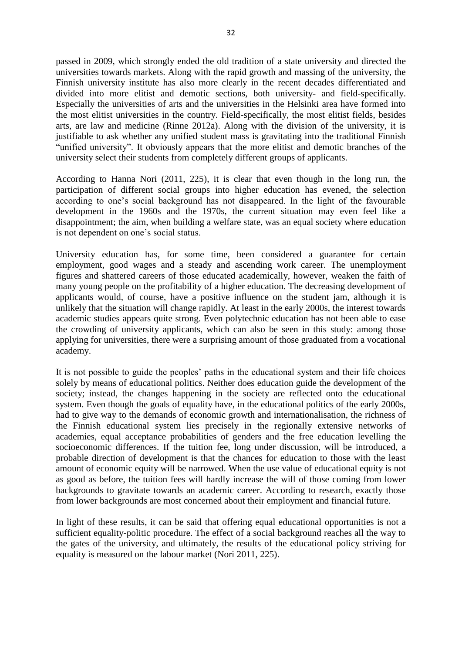passed in 2009, which strongly ended the old tradition of a state university and directed the universities towards markets. Along with the rapid growth and massing of the university, the Finnish university institute has also more clearly in the recent decades differentiated and divided into more elitist and demotic sections, both university- and field-specifically. Especially the universities of arts and the universities in the Helsinki area have formed into the most elitist universities in the country. Field-specifically, the most elitist fields, besides arts, are law and medicine (Rinne 2012a). Along with the division of the university, it is justifiable to ask whether any unified student mass is gravitating into the traditional Finnish "unified university". It obviously appears that the more elitist and demotic branches of the university select their students from completely different groups of applicants.

According to Hanna Nori (2011, 225), it is clear that even though in the long run, the participation of different social groups into higher education has evened, the selection according to one's social background has not disappeared. In the light of the favourable development in the 1960s and the 1970s, the current situation may even feel like a disappointment; the aim, when building a welfare state, was an equal society where education is not dependent on one's social status.

University education has, for some time, been considered a guarantee for certain employment, good wages and a steady and ascending work career. The unemployment figures and shattered careers of those educated academically, however, weaken the faith of many young people on the profitability of a higher education. The decreasing development of applicants would, of course, have a positive influence on the student jam, although it is unlikely that the situation will change rapidly. At least in the early 2000s, the interest towards academic studies appears quite strong. Even polytechnic education has not been able to ease the crowding of university applicants, which can also be seen in this study: among those applying for universities, there were a surprising amount of those graduated from a vocational academy.

It is not possible to guide the peoples' paths in the educational system and their life choices solely by means of educational politics. Neither does education guide the development of the society; instead, the changes happening in the society are reflected onto the educational system. Even though the goals of equality have, in the educational politics of the early 2000s, had to give way to the demands of economic growth and internationalisation, the richness of the Finnish educational system lies precisely in the regionally extensive networks of academies, equal acceptance probabilities of genders and the free education levelling the socioeconomic differences. If the tuition fee, long under discussion, will be introduced, a probable direction of development is that the chances for education to those with the least amount of economic equity will be narrowed. When the use value of educational equity is not as good as before, the tuition fees will hardly increase the will of those coming from lower backgrounds to gravitate towards an academic career. According to research, exactly those from lower backgrounds are most concerned about their employment and financial future.

In light of these results, it can be said that offering equal educational opportunities is not a sufficient equality-politic procedure. The effect of a social background reaches all the way to the gates of the university, and ultimately, the results of the educational policy striving for equality is measured on the labour market (Nori 2011, 225).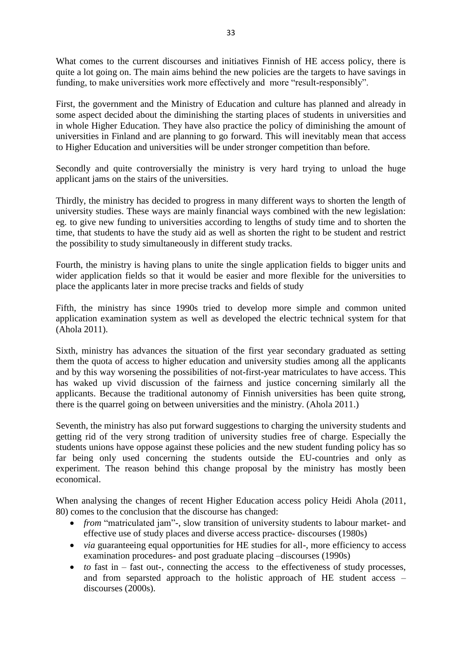What comes to the current discourses and initiatives Finnish of HE access policy, there is quite a lot going on. The main aims behind the new policies are the targets to have savings in funding, to make universities work more effectively and more "result-responsibly".

First, the government and the Ministry of Education and culture has planned and already in some aspect decided about the diminishing the starting places of students in universities and in whole Higher Education. They have also practice the policy of diminishing the amount of universities in Finland and are planning to go forward. This will inevitably mean that access to Higher Education and universities will be under stronger competition than before.

Secondly and quite controversially the ministry is very hard trying to unload the huge applicant jams on the stairs of the universities.

Thirdly, the ministry has decided to progress in many different ways to shorten the length of university studies. These ways are mainly financial ways combined with the new legislation: eg. to give new funding to universities according to lengths of study time and to shorten the time, that students to have the study aid as well as shorten the right to be student and restrict the possibility to study simultaneously in different study tracks.

Fourth, the ministry is having plans to unite the single application fields to bigger units and wider application fields so that it would be easier and more flexible for the universities to place the applicants later in more precise tracks and fields of study

Fifth, the ministry has since 1990s tried to develop more simple and common united application examination system as well as developed the electric technical system for that (Ahola 2011).

Sixth, ministry has advances the situation of the first year secondary graduated as setting them the quota of access to higher education and university studies among all the applicants and by this way worsening the possibilities of not-first-year matriculates to have access. This has waked up vivid discussion of the fairness and justice concerning similarly all the applicants. Because the traditional autonomy of Finnish universities has been quite strong, there is the quarrel going on between universities and the ministry. (Ahola 2011.)

Seventh, the ministry has also put forward suggestions to charging the university students and getting rid of the very strong tradition of university studies free of charge. Especially the students unions have oppose against these policies and the new student funding policy has so far being only used concerning the students outside the EU-countries and only as experiment. The reason behind this change proposal by the ministry has mostly been economical.

When analysing the changes of recent Higher Education access policy Heidi Ahola (2011, 80) comes to the conclusion that the discourse has changed:

- *from* "matriculated jam"-, slow transition of university students to labour market- and effective use of study places and diverse access practice- discourses (1980s)
- *via* guaranteeing equal opportunities for HE studies for all-, more efficiency to access examination procedures- and post graduate placing –discourses (1990s)
- *to* fast in fast out-, connecting the access to the effectiveness of study processes, and from separsted approach to the holistic approach of HE student access – discourses (2000s).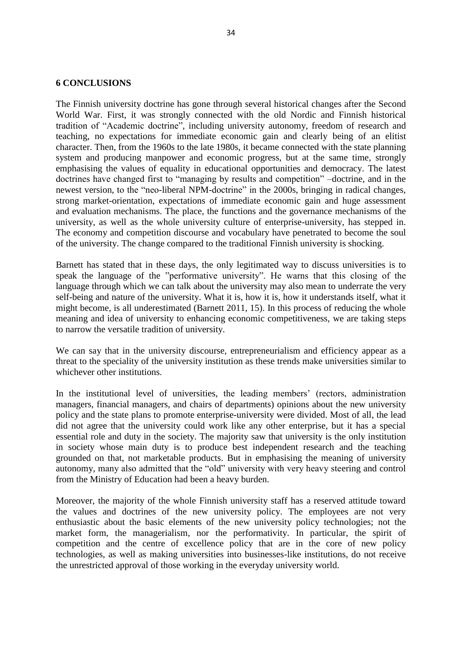#### **6 CONCLUSIONS**

The Finnish university doctrine has gone through several historical changes after the Second World War. First, it was strongly connected with the old Nordic and Finnish historical tradition of "Academic doctrine", including university autonomy, freedom of research and teaching, no expectations for immediate economic gain and clearly being of an elitist character. Then, from the 1960s to the late 1980s, it became connected with the state planning system and producing manpower and economic progress, but at the same time, strongly emphasising the values of equality in educational opportunities and democracy. The latest doctrines have changed first to "managing by results and competition" –doctrine, and in the newest version, to the "neo-liberal NPM-doctrine" in the 2000s, bringing in radical changes, strong market-orientation, expectations of immediate economic gain and huge assessment and evaluation mechanisms. The place, the functions and the governance mechanisms of the university, as well as the whole university culture of enterprise-university, has stepped in. The economy and competition discourse and vocabulary have penetrated to become the soul of the university. The change compared to the traditional Finnish university is shocking.

Barnett has stated that in these days, the only legitimated way to discuss universities is to speak the language of the "performative university". He warns that this closing of the language through which we can talk about the university may also mean to underrate the very self-being and nature of the university. What it is, how it is, how it understands itself, what it might become, is all underestimated (Barnett 2011, 15). In this process of reducing the whole meaning and idea of university to enhancing economic competitiveness, we are taking steps to narrow the versatile tradition of university.

We can say that in the university discourse, entrepreneurialism and efficiency appear as a threat to the speciality of the university institution as these trends make universities similar to whichever other institutions.

In the institutional level of universities, the leading members' (rectors, administration managers, financial managers, and chairs of departments) opinions about the new university policy and the state plans to promote enterprise-university were divided. Most of all, the lead did not agree that the university could work like any other enterprise, but it has a special essential role and duty in the society. The majority saw that university is the only institution in society whose main duty is to produce best independent research and the teaching grounded on that, not marketable products. But in emphasising the meaning of university autonomy, many also admitted that the "old" university with very heavy steering and control from the Ministry of Education had been a heavy burden.

Moreover, the majority of the whole Finnish university staff has a reserved attitude toward the values and doctrines of the new university policy. The employees are not very enthusiastic about the basic elements of the new university policy technologies; not the market form, the managerialism, nor the performativity. In particular, the spirit of competition and the centre of excellence policy that are in the core of new policy technologies, as well as making universities into businesses-like institutions, do not receive the unrestricted approval of those working in the everyday university world.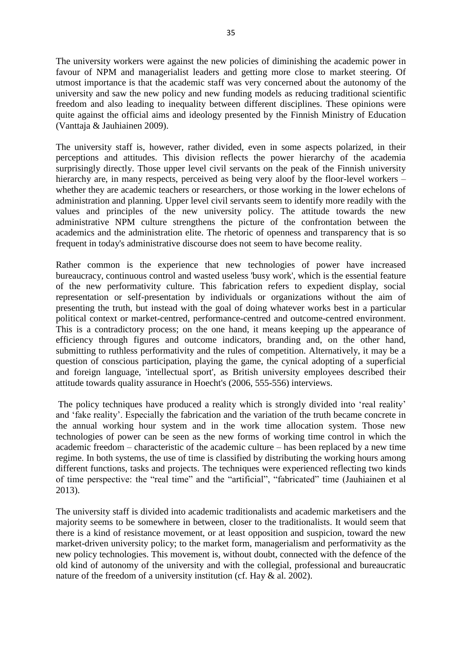The university workers were against the new policies of diminishing the academic power in favour of NPM and managerialist leaders and getting more close to market steering. Of utmost importance is that the academic staff was very concerned about the autonomy of the university and saw the new policy and new funding models as reducing traditional scientific freedom and also leading to inequality between different disciplines. These opinions were quite against the official aims and ideology presented by the Finnish Ministry of Education (Vanttaja & Jauhiainen 2009).

The university staff is, however, rather divided, even in some aspects polarized, in their perceptions and attitudes. This division reflects the power hierarchy of the academia surprisingly directly. Those upper level civil servants on the peak of the Finnish university hierarchy are, in many respects, perceived as being very aloof by the floor-level workers – whether they are academic teachers or researchers, or those working in the lower echelons of administration and planning. Upper level civil servants seem to identify more readily with the values and principles of the new university policy. The attitude towards the new administrative NPM culture strengthens the picture of the confrontation between the academics and the administration elite. The rhetoric of openness and transparency that is so frequent in today's administrative discourse does not seem to have become reality.

Rather common is the experience that new technologies of power have increased bureaucracy, continuous control and wasted useless 'busy work', which is the essential feature of the new performativity culture. This fabrication refers to expedient display, social representation or self-presentation by individuals or organizations without the aim of presenting the truth, but instead with the goal of doing whatever works best in a particular political context or market-centred, performance-centred and outcome-centred environment. This is a contradictory process; on the one hand, it means keeping up the appearance of efficiency through figures and outcome indicators, branding and, on the other hand, submitting to ruthless performativity and the rules of competition. Alternatively, it may be a question of conscious participation, playing the game, the cynical adopting of a superficial and foreign language, 'intellectual sport', as British university employees described their attitude towards quality assurance in Hoecht's (2006, 555-556) interviews.

The policy techniques have produced a reality which is strongly divided into 'real reality' and 'fake reality'. Especially the fabrication and the variation of the truth became concrete in the annual working hour system and in the work time allocation system. Those new technologies of power can be seen as the new forms of working time control in which the academic freedom – characteristic of the academic culture – has been replaced by a new time regime. In both systems, the use of time is classified by distributing the working hours among different functions, tasks and projects. The techniques were experienced reflecting two kinds of time perspective: the "real time" and the "artificial", "fabricated" time (Jauhiainen et al 2013).

The university staff is divided into academic traditionalists and academic marketisers and the majority seems to be somewhere in between, closer to the traditionalists. It would seem that there is a kind of resistance movement, or at least opposition and suspicion, toward the new market-driven university policy; to the market form, managerialism and performativity as the new policy technologies. This movement is, without doubt, connected with the defence of the old kind of autonomy of the university and with the collegial, professional and bureaucratic nature of the freedom of a university institution (cf. Hay & al. 2002).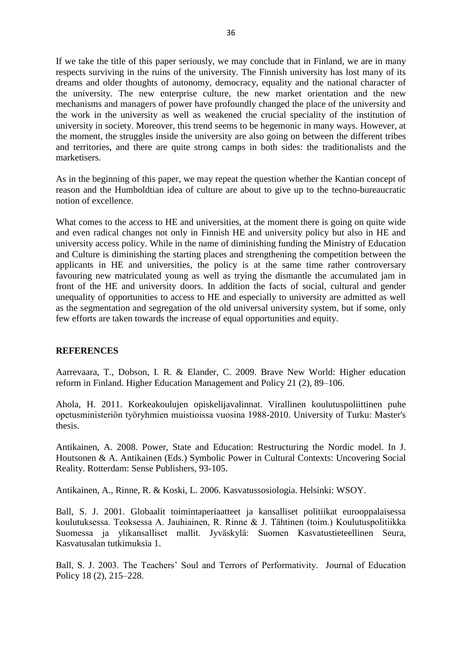If we take the title of this paper seriously, we may conclude that in Finland, we are in many respects surviving in the ruins of the university. The Finnish university has lost many of its dreams and older thoughts of autonomy, democracy, equality and the national character of the university. The new enterprise culture, the new market orientation and the new mechanisms and managers of power have profoundly changed the place of the university and the work in the university as well as weakened the crucial speciality of the institution of university in society. Moreover, this trend seems to be hegemonic in many ways. However, at the moment, the struggles inside the university are also going on between the different tribes and territories, and there are quite strong camps in both sides: the traditionalists and the marketisers.

As in the beginning of this paper, we may repeat the question whether the Kantian concept of reason and the Humboldtian idea of culture are about to give up to the techno-bureaucratic notion of excellence.

What comes to the access to HE and universities, at the moment there is going on quite wide and even radical changes not only in Finnish HE and university policy but also in HE and university access policy. While in the name of diminishing funding the Ministry of Education and Culture is diminishing the starting places and strengthening the competition between the applicants in HE and universities, the policy is at the same time rather controversary favouring new matriculated young as well as trying the dismantle the accumulated jam in front of the HE and university doors. In addition the facts of social, cultural and gender unequality of opportunities to access to HE and especially to university are admitted as well as the segmentation and segregation of the old universal university system, but if some, only few efforts are taken towards the increase of equal opportunities and equity.

#### **REFERENCES**

Aarrevaara, T., Dobson, I. R. & Elander, C. 2009. Brave New World: Higher education reform in Finland. Higher Education Management and Policy 21 (2), 89–106.

Ahola, H. 2011. Korkeakoulujen opiskelijavalinnat. Virallinen koulutuspoliittinen puhe opetusministeriön työryhmien muistioissa vuosina 1988-2010. University of Turku: Master's thesis.

Antikainen, A. 2008. Power, State and Education: Restructuring the Nordic model. In J. Houtsonen & A. Antikainen (Eds.) Symbolic Power in Cultural Contexts: Uncovering Social Reality. Rotterdam: Sense Publishers, 93-105.

Antikainen, A., Rinne, R. & Koski, L. 2006. Kasvatussosiologia. Helsinki: WSOY.

Ball, S. J. 2001. Globaalit toimintaperiaatteet ja kansalliset politiikat eurooppalaisessa koulutuksessa. Teoksessa A. Jauhiainen, R. Rinne & J. Tähtinen (toim.) Koulutuspolitiikka Suomessa ja ylikansalliset mallit. Jyväskylä: Suomen Kasvatustieteellinen Seura, Kasvatusalan tutkimuksia 1.

Ball, S. J. 2003. The Teachers' Soul and Terrors of Performativity. Journal of Education Policy 18 (2), 215–228.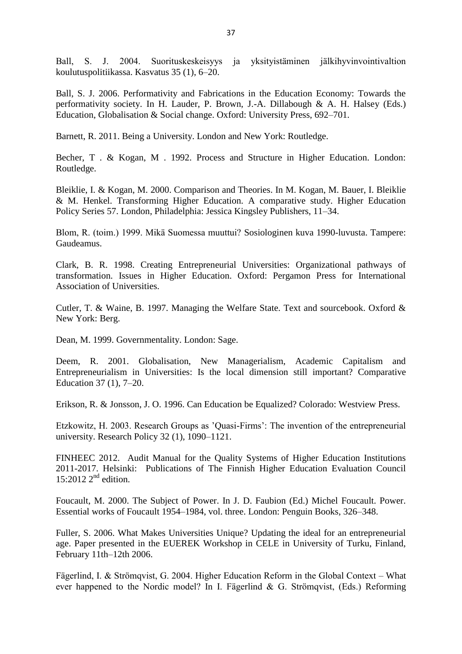Ball, S. J. 2004. Suorituskeskeisyys ja yksityistäminen jälkihyvinvointivaltion koulutuspolitiikassa. Kasvatus 35 (1), 6–20.

Ball, S. J. 2006. Performativity and Fabrications in the Education Economy: Towards the performativity society. In H. Lauder, P. Brown, J.-A. Dillabough & A. H. Halsey (Eds.) Education, Globalisation & Social change. Oxford: University Press, 692–701.

Barnett, R. 2011. Being a University. London and New York: Routledge.

Becher, T . & Kogan, M . 1992. Process and Structure in Higher Education. London: Routledge.

Bleiklie, I. & Kogan, M. 2000. Comparison and Theories. In M. Kogan, M. Bauer, I. Bleiklie & M. Henkel. Transforming Higher Education. A comparative study. Higher Education Policy Series 57. London, Philadelphia: Jessica Kingsley Publishers, 11–34.

Blom, R. (toim.) 1999. Mikä Suomessa muuttui? Sosiologinen kuva 1990-luvusta. Tampere: Gaudeamus.

Clark, B. R. 1998. Creating Entrepreneurial Universities: Organizational pathways of transformation. Issues in Higher Education. Oxford: Pergamon Press for International Association of Universities.

Cutler, T. & Waine, B. 1997. Managing the Welfare State. Text and sourcebook. Oxford & New York: Berg.

Dean, M. 1999. Governmentality. London: Sage.

Deem, R. 2001. Globalisation, New Managerialism, Academic Capitalism and Entrepreneurialism in Universities: Is the local dimension still important? Comparative Education 37 (1), 7–20.

Erikson, R. & Jonsson, J. O. 1996. Can Education be Equalized? Colorado: Westview Press.

Etzkowitz, H. 2003. Research Groups as 'Quasi-Firms': The invention of the entrepreneurial university. Research Policy 32 (1), 1090–1121.

FINHEEC 2012. Audit Manual for the Quality Systems of Higher Education Institutions 2011-2017. Helsinki: Publications of The Finnish Higher Education Evaluation Council 15:2012  $2<sup>nd</sup>$  edition.

Foucault, M. 2000. The Subject of Power. In J. D. Faubion (Ed.) Michel Foucault. Power. Essential works of Foucault 1954–1984, vol. three. London: Penguin Books, 326–348.

Fuller, S. 2006. What Makes Universities Unique? Updating the ideal for an entrepreneurial age. Paper presented in the EUEREK Workshop in CELE in University of Turku, Finland, February 11th–12th 2006.

Fägerlind, I. & Strömqvist, G. 2004. Higher Education Reform in the Global Context – What ever happened to the Nordic model? In I. Fägerlind & G. Strömqvist, (Eds.) Reforming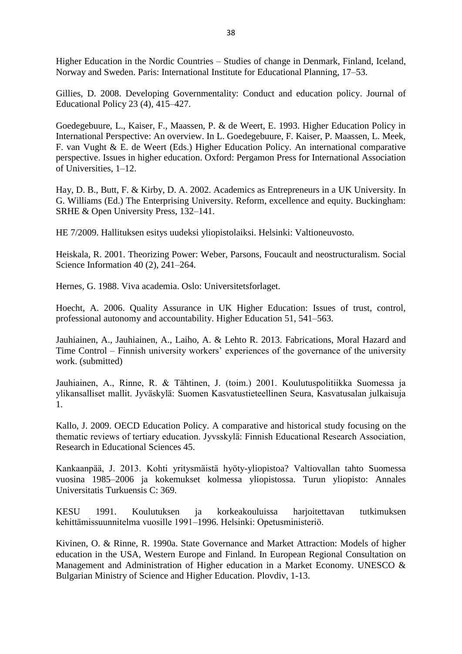Higher Education in the Nordic Countries – Studies of change in Denmark, Finland, Iceland, Norway and Sweden. Paris: International Institute for Educational Planning, 17–53.

Gillies, D. 2008. Developing Governmentality: Conduct and education policy. Journal of Educational Policy 23 (4), 415–427.

Goedegebuure, L., Kaiser, F., Maassen, P. & de Weert, E. 1993. Higher Education Policy in International Perspective: An overview. In L. Goedegebuure, F. Kaiser, P. Maassen, L. Meek, F. van Vught & E. de Weert (Eds.) Higher Education Policy. An international comparative perspective. Issues in higher education. Oxford: Pergamon Press for International Association of Universities, 1–12.

Hay, D. B., Butt, F. & Kirby, D. A. 2002. Academics as Entrepreneurs in a UK University. In G. Williams (Ed.) The Enterprising University. Reform, excellence and equity. Buckingham: SRHE & Open University Press, 132–141.

HE 7/2009. Hallituksen esitys uudeksi yliopistolaiksi. Helsinki: Valtioneuvosto.

Heiskala, R. 2001. Theorizing Power: Weber, Parsons, Foucault and neostructuralism. Social Science Information 40 (2), 241–264.

Hernes, G. 1988. Viva academia. Oslo: Universitetsforlaget.

Hoecht, A. 2006. Quality Assurance in UK Higher Education: Issues of trust, control, professional autonomy and accountability. Higher Education 51, 541–563.

Jauhiainen, A., Jauhiainen, A., Laiho, A. & Lehto R. 2013. Fabrications, Moral Hazard and Time Control – Finnish university workers' experiences of the governance of the university work. (submitted)

Jauhiainen, A., Rinne, R. & Tähtinen, J. (toim.) 2001. Koulutuspolitiikka Suomessa ja ylikansalliset mallit. Jyväskylä: Suomen Kasvatustieteellinen Seura, Kasvatusalan julkaisuja 1.

Kallo, J. 2009. OECD Education Policy. A comparative and historical study focusing on the thematic reviews of tertiary education. Jyvsskylä: Finnish Educational Research Association, Research in Educational Sciences 45.

Kankaanpää, J. 2013. Kohti yritysmäistä hyöty-yliopistoa? Valtiovallan tahto Suomessa vuosina 1985–2006 ja kokemukset kolmessa yliopistossa. Turun yliopisto: Annales Universitatis Turkuensis C: 369.

KESU 1991. Koulutuksen ja korkeakouluissa harjoitettavan tutkimuksen kehittämissuunnitelma vuosille 1991–1996. Helsinki: Opetusministeriö.

Kivinen, O. & Rinne, R. 1990a. State Governance and Market Attraction: Models of higher education in the USA, Western Europe and Finland. In European Regional Consultation on Management and Administration of Higher education in a Market Economy. UNESCO & Bulgarian Ministry of Science and Higher Education. Plovdiv, 1-13.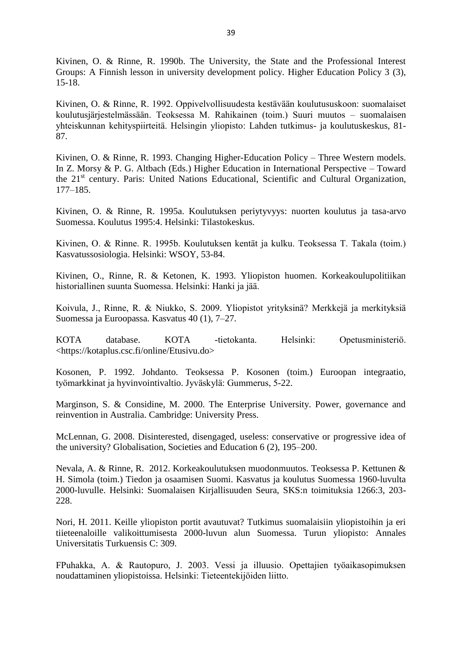Kivinen, O. & Rinne, R. 1990b. The University, the State and the Professional Interest Groups: A Finnish lesson in university development policy. Higher Education Policy 3 (3), 15-18.

Kivinen, O. & Rinne, R. 1992. Oppivelvollisuudesta kestävään koulutususkoon: suomalaiset koulutusjärjestelmässään. Teoksessa M. Rahikainen (toim.) Suuri muutos – suomalaisen yhteiskunnan kehityspiirteitä. Helsingin yliopisto: Lahden tutkimus- ja koulutuskeskus, 81- 87.

Kivinen, O. & Rinne, R. 1993. Changing Higher-Education Policy – Three Western models. In Z. Morsy & P. G. Altbach (Eds.) Higher Education in International Perspective – Toward the 21<sup>st</sup> century. Paris: United Nations Educational, Scientific and Cultural Organization, 177–185.

Kivinen, O. & Rinne, R. 1995a. Koulutuksen periytyvyys: nuorten koulutus ja tasa-arvo Suomessa. Koulutus 1995:4. Helsinki: Tilastokeskus.

Kivinen, O. & Rinne. R. 1995b. Koulutuksen kentät ja kulku. Teoksessa T. Takala (toim.) Kasvatussosiologia. Helsinki: WSOY, 53-84.

Kivinen, O., Rinne, R. & Ketonen, K. 1993. Yliopiston huomen. Korkeakoulupolitiikan historiallinen suunta Suomessa. Helsinki: Hanki ja jää.

Koivula, J., Rinne, R. & Niukko, S. 2009. Yliopistot yrityksinä? Merkkejä ja merkityksiä Suomessa ja Euroopassa. Kasvatus 40 (1), 7–27.

KOTA database. KOTA -tietokanta. Helsinki: Opetusministeriö. <https://kotaplus.csc.fi/online/Etusivu.do>

Kosonen, P. 1992. Johdanto. Teoksessa P. Kosonen (toim.) Euroopan integraatio, työmarkkinat ja hyvinvointivaltio. Jyväskylä: Gummerus, 5-22.

Marginson, S. & Considine, M. 2000. The Enterprise University. Power, governance and reinvention in Australia. Cambridge: University Press.

McLennan, G. 2008. Disinterested, disengaged, useless: conservative or progressive idea of the university? Globalisation, Societies and Education 6 (2), 195–200.

Nevala, A. & Rinne, R. 2012. Korkeakoulutuksen muodonmuutos. Teoksessa P. Kettunen & H. Simola (toim.) Tiedon ja osaamisen Suomi. Kasvatus ja koulutus Suomessa 1960-luvulta 2000-luvulle. Helsinki: Suomalaisen Kirjallisuuden Seura, SKS:n toimituksia 1266:3, 203- 228.

Nori, H. 2011. Keille yliopiston portit avautuvat? Tutkimus suomalaisiin yliopistoihin ja eri tiieteenaloille valikoittumisesta 2000-luvun alun Suomessa. Turun yliopisto: Annales Universitatis Turkuensis C: 309.

FPuhakka, A. & Rautopuro, J. 2003. Vessi ja illuusio. Opettajien työaikasopimuksen noudattaminen yliopistoissa. Helsinki: Tieteentekijöiden liitto.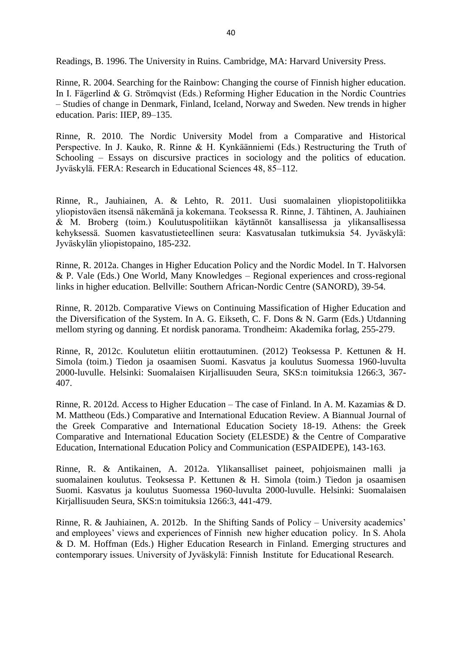Readings, B. 1996. The University in Ruins. Cambridge, MA: Harvard University Press.

Rinne, R. 2004. Searching for the Rainbow: Changing the course of Finnish higher education. In I. Fägerlind & G. Strömqvist (Eds.) Reforming Higher Education in the Nordic Countries – Studies of change in Denmark, Finland, Iceland, Norway and Sweden. New trends in higher education. Paris: IIEP, 89–135.

Rinne, R. 2010. The Nordic University Model from a Comparative and Historical Perspective. In J. Kauko, R. Rinne & H. Kynkäänniemi (Eds.) Restructuring the Truth of Schooling – Essays on discursive practices in sociology and the politics of education. Jyväskylä. FERA: Research in Educational Sciences 48, 85–112.

Rinne, R., Jauhiainen, A. & Lehto, R. 2011. Uusi suomalainen yliopistopolitiikka yliopistoväen itsensä näkemänä ja kokemana. Teoksessa R. Rinne, J. Tähtinen, A. Jauhiainen & M. Broberg (toim.) Koulutuspolitiikan käytännöt kansallisessa ja ylikansallisessa kehyksessä. Suomen kasvatustieteellinen seura: Kasvatusalan tutkimuksia 54. Jyväskylä: Jyväskylän yliopistopaino, 185-232.

Rinne, R. 2012a. Changes in Higher Education Policy and the Nordic Model. In T. Halvorsen & P. Vale (Eds.) One World, Many Knowledges – Regional experiences and cross-regional links in higher education. Bellville: Southern African-Nordic Centre (SANORD), 39-54.

Rinne, R. 2012b. Comparative Views on Continuing Massification of Higher Education and the Diversification of the System. In A. G. Eikseth, C. F. Dons & N. Garm (Eds.) Utdanning mellom styring og danning. Et nordisk panorama. Trondheim: Akademika forlag, 255-279.

Rinne, R, 2012c. Koulutetun eliitin erottautuminen. (2012) Teoksessa P. Kettunen & H. Simola (toim.) Tiedon ja osaamisen Suomi. Kasvatus ja koulutus Suomessa 1960-luvulta 2000-luvulle. Helsinki: Suomalaisen Kirjallisuuden Seura, SKS:n toimituksia 1266:3, 367- 407.

Rinne, R. 2012d. Access to Higher Education – The case of Finland. In A. M. Kazamias & D. M. Mattheou (Eds.) Comparative and International Education Review. A Biannual Journal of the Greek Comparative and International Education Society 18-19. Athens: the Greek Comparative and International Education Society (ELESDE) & the Centre of Comparative Education, International Education Policy and Communication (ESPAIDEPE), 143-163.

Rinne, R. & Antikainen, A. 2012a. Ylikansalliset paineet, pohjoismainen malli ja suomalainen koulutus. Teoksessa P. Kettunen & H. Simola (toim.) Tiedon ja osaamisen Suomi. Kasvatus ja koulutus Suomessa 1960-luvulta 2000-luvulle. Helsinki: Suomalaisen Kirjallisuuden Seura, SKS:n toimituksia 1266:3, 441-479.

Rinne, R. & Jauhiainen, A. 2012b. In the Shifting Sands of Policy – University academics' and employees' views and experiences of Finnish new higher education policy. In S. Ahola & D. M. Hoffman (Eds.) Higher Education Research in Finland. Emerging structures and contemporary issues. University of Jyväskylä: Finnish Institute for Educational Research.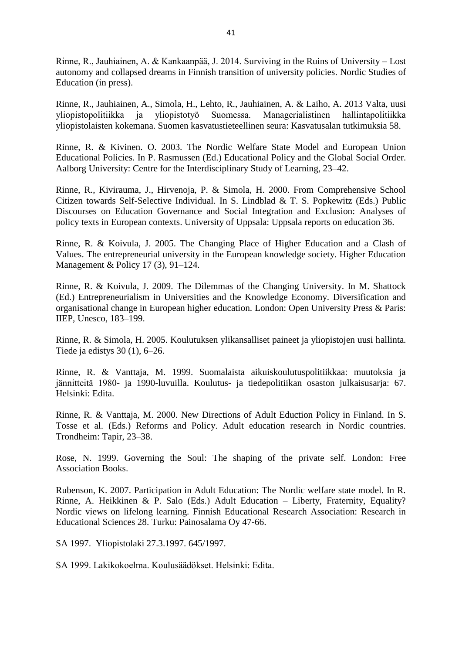Rinne, R., Jauhiainen, A. & Kankaanpää, J. 2014. Surviving in the Ruins of University – Lost autonomy and collapsed dreams in Finnish transition of university policies. Nordic Studies of Education (in press).

Rinne, R., Jauhiainen, A., Simola, H., Lehto, R., Jauhiainen, A. & Laiho, A. 2013 Valta, uusi yliopistopolitiikka ja yliopistotyö Suomessa. yliopistolaisten kokemana. Suomen kasvatustieteellinen seura: Kasvatusalan tutkimuksia 58.

Rinne, R. & Kivinen. O. 2003. The Nordic Welfare State Model and European Union Educational Policies. In P. Rasmussen (Ed.) Educational Policy and the Global Social Order. Aalborg University: Centre for the Interdisciplinary Study of Learning, 23–42.

Rinne, R., Kivirauma, J., Hirvenoja, P. & Simola, H. 2000. From Comprehensive School Citizen towards Self-Selective Individual. In S. Lindblad & T. S. Popkewitz (Eds.) Public Discourses on Education Governance and Social Integration and Exclusion: Analyses of policy texts in European contexts. University of Uppsala: Uppsala reports on education 36.

Rinne, R. & Koivula, J. 2005. The Changing Place of Higher Education and a Clash of Values. The entrepreneurial university in the European knowledge society. Higher Education Management & Policy 17 (3), 91–124.

Rinne, R. & Koivula, J. 2009. The Dilemmas of the Changing University. In M. Shattock (Ed.) Entrepreneurialism in Universities and the Knowledge Economy. Diversification and organisational change in European higher education. London: Open University Press & Paris: IIEP, Unesco, 183–199.

Rinne, R. & Simola, H. 2005. Koulutuksen ylikansalliset paineet ja yliopistojen uusi hallinta. Tiede ja edistys 30 (1), 6–26.

Rinne, R. & Vanttaja, M. 1999. Suomalaista aikuiskoulutuspolitiikkaa: muutoksia ja jännitteitä 1980- ja 1990-luvuilla. Koulutus- ja tiedepolitiikan osaston julkaisusarja: 67. Helsinki: Edita.

Rinne, R. & Vanttaja, M. 2000. New Directions of Adult Eduction Policy in Finland. In S. Tosse et al. (Eds.) Reforms and Policy. Adult education research in Nordic countries. Trondheim: Tapir, 23–38.

Rose, N. 1999. Governing the Soul: The shaping of the private self. London: Free Association Books.

Rubenson, K. 2007. Participation in Adult Education: The Nordic welfare state model. In R. Rinne, A. Heikkinen & P. Salo (Eds.) Adult Education – Liberty, Fraternity, Equality? Nordic views on lifelong learning. Finnish Educational Research Association: Research in Educational Sciences 28. Turku: Painosalama Oy 47-66.

SA 1997. Yliopistolaki 27.3.1997. 645/1997.

SA 1999. Lakikokoelma. Koulusäädökset. Helsinki: Edita.